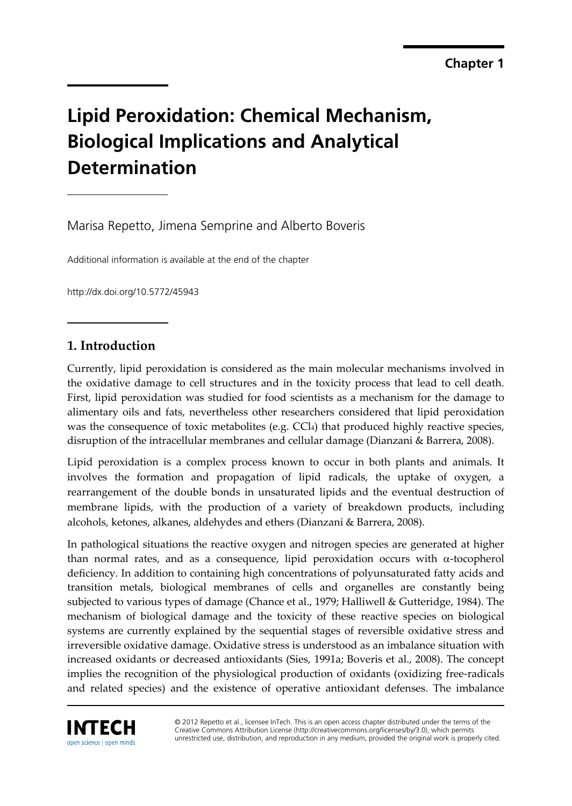# **Lipid Peroxidation: Chemical Mechanism, Biological Implications and Analytical Determination**

Marisa Repetto, Jimena Semprine and Alberto Boveris

Additional information is available at the end of the chapter

http://dx.doi.org/10.5772/45943

# **1. Introduction**

Currently, lipid peroxidation is considered as the main molecular mechanisms involved in the oxidative damage to cell structures and in the toxicity process that lead to cell death. First, lipid peroxidation was studied for food scientists as a mechanism for the damage to alimentary oils and fats, nevertheless other researchers considered that lipid peroxidation was the consequence of toxic metabolites (e.g.  $CCl<sub>4</sub>$ ) that produced highly reactive species, disruption of the intracellular membranes and cellular damage (Dianzani & Barrera, 2008).

Lipid peroxidation is a complex process known to occur in both plants and animals. It involves the formation and propagation of lipid radicals, the uptake of oxygen, a rearrangement of the double bonds in unsaturated lipids and the eventual destruction of membrane lipids, with the production of a variety of breakdown products, including alcohols, ketones, alkanes, aldehydes and ethers (Dianzani & Barrera, 2008).

In pathological situations the reactive oxygen and nitrogen species are generated at higher than normal rates, and as a consequence, lipid peroxidation occurs with  $\alpha$ -tocopherol deficiency. In addition to containing high concentrations of polyunsaturated fatty acids and transition metals, biological membranes of cells and organelles are constantly being subjected to various types of damage (Chance et al., 1979; Halliwell & Gutteridge, 1984). The mechanism of biological damage and the toxicity of these reactive species on biological systems are currently explained by the sequential stages of reversible oxidative stress and irreversible oxidative damage. Oxidative stress is understood as an imbalance situation with increased oxidants or decreased antioxidants (Sies, 1991a; Boveris et al., 2008). The concept implies the recognition of the physiological production of oxidants (oxidizing free-radicals and related species) and the existence of operative antioxidant defenses. The imbalance



© 2012 Repetto et al., licensee InTech. This is an open access chapter distributed under the terms of the Creative Commons Attribution License (http://creativecommons.org/licenses/by/3.0), which permits unrestricted use, distribution, and reproduction in any medium, provided the original work is properly cited.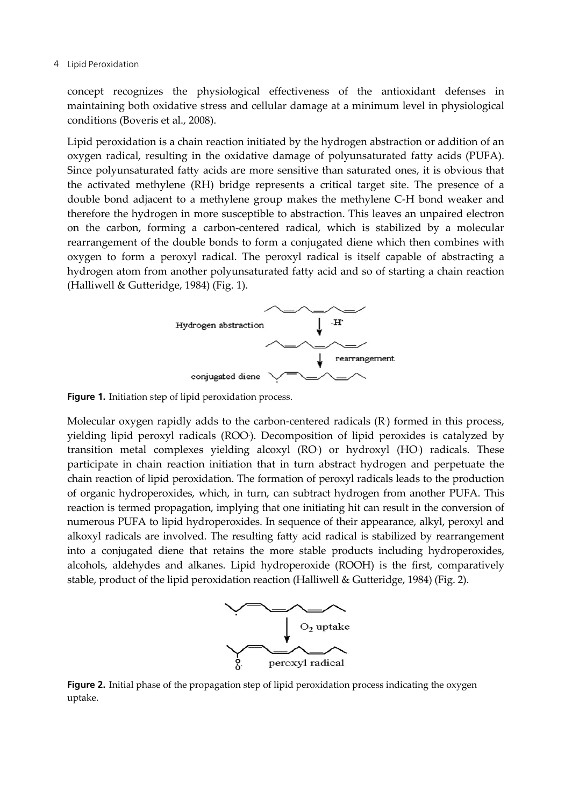concept recognizes the physiological effectiveness of the antioxidant defenses in maintaining both oxidative stress and cellular damage at a minimum level in physiological conditions (Boveris et al., 2008).

Lipid peroxidation is a chain reaction initiated by the hydrogen abstraction or addition of an oxygen radical, resulting in the oxidative damage of polyunsaturated fatty acids (PUFA). Since polyunsaturated fatty acids are more sensitive than saturated ones, it is obvious that the activated methylene (RH) bridge represents a critical target site. The presence of a double bond adjacent to a methylene group makes the methylene C-H bond weaker and therefore the hydrogen in more susceptible to abstraction. This leaves an unpaired electron on the carbon, forming a carbon-centered radical, which is stabilized by a molecular rearrangement of the double bonds to form a conjugated diene which then combines with oxygen to form a peroxyl radical. The peroxyl radical is itself capable of abstracting a hydrogen atom from another polyunsaturated fatty acid and so of starting a chain reaction (Halliwell & Gutteridge, 1984) (Fig. 1).



**Figure 1.** Initiation step of lipid peroxidation process.

Molecular oxygen rapidly adds to the carbon-centered radicals (R. ) formed in this process, yielding lipid peroxyl radicals (ROO. ). Decomposition of lipid peroxides is catalyzed by transition metal complexes yielding alcoxyl (RO) or hydroxyl (HO) radicals. These participate in chain reaction initiation that in turn abstract hydrogen and perpetuate the chain reaction of lipid peroxidation. The formation of peroxyl radicals leads to the production of organic hydroperoxides, which, in turn, can subtract hydrogen from another PUFA. This reaction is termed propagation, implying that one initiating hit can result in the conversion of numerous PUFA to lipid hydroperoxides. In sequence of their appearance, alkyl, peroxyl and alkoxyl radicals are involved. The resulting fatty acid radical is stabilized by rearrangement into a conjugated diene that retains the more stable products including hydroperoxides, alcohols, aldehydes and alkanes. Lipid hydroperoxide (ROOH) is the first, comparatively stable, product of the lipid peroxidation reaction (Halliwell & Gutteridge, 1984) (Fig. 2).



**Figure 2.** Initial phase of the propagation step of lipid peroxidation process indicating the oxygen uptake.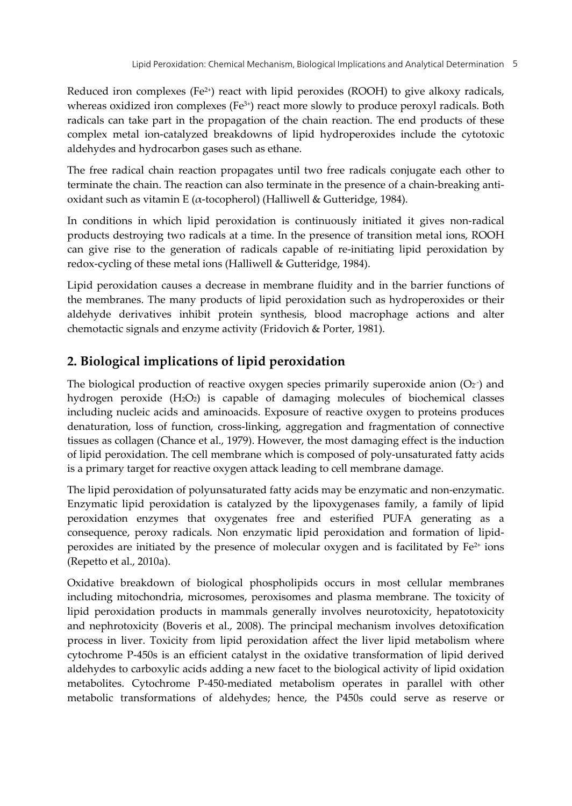Reduced iron complexes ( $Fe<sup>2+</sup>$ ) react with lipid peroxides (ROOH) to give alkoxy radicals, whereas oxidized iron complexes (Fe<sup>3+</sup>) react more slowly to produce peroxyl radicals. Both radicals can take part in the propagation of the chain reaction. The end products of these complex metal ion-catalyzed breakdowns of lipid hydroperoxides include the cytotoxic aldehydes and hydrocarbon gases such as ethane.

The free radical chain reaction propagates until two free radicals conjugate each other to terminate the chain. The reaction can also terminate in the presence of a chain-breaking antioxidant such as vitamin E ( $\alpha$ -tocopherol) (Halliwell & Gutteridge, 1984).

In conditions in which lipid peroxidation is continuously initiated it gives non-radical products destroying two radicals at a time. In the presence of transition metal ions, ROOH can give rise to the generation of radicals capable of re-initiating lipid peroxidation by redox-cycling of these metal ions (Halliwell & Gutteridge, 1984).

Lipid peroxidation causes a decrease in membrane fluidity and in the barrier functions of the membranes. The many products of lipid peroxidation such as hydroperoxides or their aldehyde derivatives inhibit protein synthesis, blood macrophage actions and alter chemotactic signals and enzyme activity (Fridovich & Porter, 1981).

# **2. Biological implications of lipid peroxidation**

The biological production of reactive oxygen species primarily superoxide anion  $(O_2)$  and hydrogen peroxide (H2O2) is capable of damaging molecules of biochemical classes including nucleic acids and aminoacids. Exposure of reactive oxygen to proteins produces denaturation, loss of function, cross-linking, aggregation and fragmentation of connective tissues as collagen (Chance et al., 1979). However, the most damaging effect is the induction of lipid peroxidation. The cell membrane which is composed of poly-unsaturated fatty acids is a primary target for reactive oxygen attack leading to cell membrane damage.

The lipid peroxidation of polyunsaturated fatty acids may be enzymatic and non-enzymatic. Enzymatic lipid peroxidation is catalyzed by the lipoxygenases family, a family of lipid peroxidation enzymes that oxygenates free and esterified PUFA generating as a consequence, peroxy radicals. Non enzymatic lipid peroxidation and formation of lipidperoxides are initiated by the presence of molecular oxygen and is facilitated by  $Fe<sup>2+</sup>$  ions (Repetto et al., 2010a).

Oxidative breakdown of biological phospholipids occurs in most cellular membranes including mitochondria, microsomes, peroxisomes and plasma membrane. The toxicity of lipid peroxidation products in mammals generally involves neurotoxicity, hepatotoxicity and nephrotoxicity (Boveris et al., 2008). The principal mechanism involves detoxification process in liver. Toxicity from lipid peroxidation affect the liver lipid metabolism where cytochrome P-450s is an efficient catalyst in the oxidative transformation of lipid derived aldehydes to carboxylic acids adding a new facet to the biological activity of lipid oxidation metabolites. Cytochrome P-450-mediated metabolism operates in parallel with other metabolic transformations of aldehydes; hence, the P450s could serve as reserve or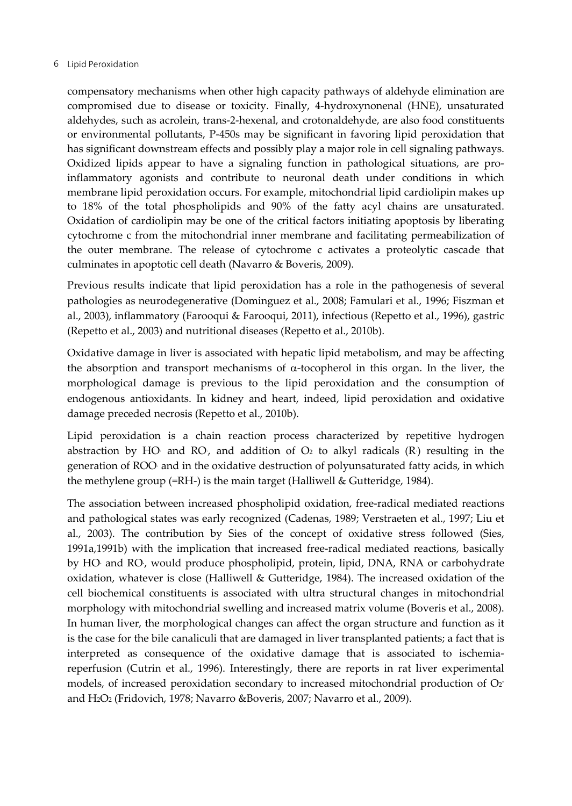compensatory mechanisms when other high capacity pathways of aldehyde elimination are compromised due to disease or toxicity. Finally, 4-hydroxynonenal (HNE), unsaturated aldehydes, such as acrolein, trans-2-hexenal, and crotonaldehyde, are also food constituents or environmental pollutants, P-450s may be significant in favoring lipid peroxidation that has significant downstream effects and possibly play a major role in cell signaling pathways. Oxidized lipids appear to have a signaling function in pathological situations, are proinflammatory agonists and contribute to neuronal death under conditions in which membrane lipid peroxidation occurs. For example, mitochondrial lipid cardiolipin makes up to 18% of the total phospholipids and 90% of the fatty acyl chains are unsaturated. Oxidation of cardiolipin may be one of the critical factors initiating apoptosis by liberating cytochrome c from the mitochondrial inner membrane and facilitating permeabilization of the outer membrane. The release of cytochrome c activates a proteolytic cascade that culminates in apoptotic cell death (Navarro & Boveris, 2009).

Previous results indicate that lipid peroxidation has a role in the pathogenesis of several pathologies as neurodegenerative (Dominguez et al., 2008; Famulari et al., 1996; Fiszman et al., 2003), inflammatory (Farooqui & Farooqui, 2011), infectious (Repetto et al., 1996), gastric (Repetto et al., 2003) and nutritional diseases (Repetto et al., 2010b).

Oxidative damage in liver is associated with hepatic lipid metabolism, and may be affecting the absorption and transport mechanisms of  $\alpha$ -tocopherol in this organ. In the liver, the morphological damage is previous to the lipid peroxidation and the consumption of endogenous antioxidants. In kidney and heart, indeed, lipid peroxidation and oxidative damage preceded necrosis (Repetto et al., 2010b).

Lipid peroxidation is a chain reaction process characterized by repetitive hydrogen abstraction by HO and RO, and addition of  $O<sub>2</sub>$  to alkyl radicals (R) resulting in the generation of ROO. and in the oxidative destruction of polyunsaturated fatty acids, in which the methylene group (=RH-) is the main target (Halliwell & Gutteridge, 1984).

The association between increased phospholipid oxidation, free-radical mediated reactions and pathological states was early recognized (Cadenas, 1989; Verstraeten et al., 1997; Liu et al., 2003). The contribution by Sies of the concept of oxidative stress followed (Sies, 1991a,1991b) with the implication that increased free-radical mediated reactions, basically by HO. and RO. , would produce phospholipid, protein, lipid, DNA, RNA or carbohydrate oxidation, whatever is close (Halliwell & Gutteridge, 1984). The increased oxidation of the cell biochemical constituents is associated with ultra structural changes in mitochondrial morphology with mitochondrial swelling and increased matrix volume (Boveris et al., 2008). In human liver, the morphological changes can affect the organ structure and function as it is the case for the bile canaliculi that are damaged in liver transplanted patients; a fact that is interpreted as consequence of the oxidative damage that is associated to ischemiareperfusion (Cutrin et al., 1996). Interestingly, there are reports in rat liver experimental models, of increased peroxidation secondary to increased mitochondrial production of  $O<sub>2</sub>$ and H2O2 (Fridovich, 1978; Navarro &Boveris, 2007; Navarro et al., 2009).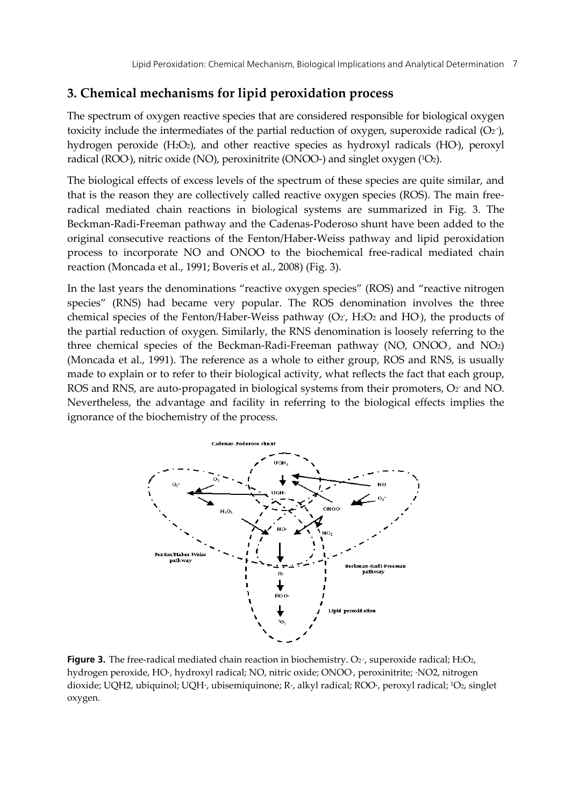### **3. Chemical mechanisms for lipid peroxidation process**

The spectrum of oxygen reactive species that are considered responsible for biological oxygen toxicity include the intermediates of the partial reduction of oxygen, superoxide radical  $(O_2)$ , hydrogen peroxide (H2O2), and other reactive species as hydroxyl radicals (HO**.** ), peroxyl radical (ROO**.** ), nitric oxide (NO), peroxinitrite (ONOO-) and singlet oxygen (1O2).

The biological effects of excess levels of the spectrum of these species are quite similar, and that is the reason they are collectively called reactive oxygen species (ROS). The main freeradical mediated chain reactions in biological systems are summarized in Fig. 3. The Beckman-Radi-Freeman pathway and the Cadenas-Poderoso shunt have been added to the original consecutive reactions of the Fenton/Haber-Weiss pathway and lipid peroxidation process to incorporate NO and ONOO. to the biochemical free-radical mediated chain reaction (Moncada et al., 1991; Boveris et al., 2008) (Fig. 3).

In the last years the denominations "reactive oxygen species" (ROS) and "reactive nitrogen species" (RNS) had became very popular. The ROS denomination involves the three chemical species of the Fenton/Haber-Weiss pathway (Oz, H2O2 and HO), the products of the partial reduction of oxygen. Similarly, the RNS denomination is loosely referring to the three chemical species of the Beckman-Radi-Freeman pathway (NO, ONOO, and NO2) (Moncada et al., 1991). The reference as a whole to either group, ROS and RNS, is usually made to explain or to refer to their biological activity, what reflects the fact that each group, ROS and RNS, are auto-propagated in biological systems from their promoters,  $O<sub>2</sub>$  and NO. Nevertheless, the advantage and facility in referring to the biological effects implies the ignorance of the biochemistry of the process.



**Figure 3.** The free-radical mediated chain reaction in biochemistry. O<sub>2</sub><sup>-</sup>, superoxide radical; H<sub>2</sub>O<sub>2</sub>, hydrogen peroxide, HO·, hydroxyl radical; NO, nitric oxide; ONOO. , peroxinitrite; ·NO2, nitrogen dioxide; UQH2, ubiquinol; UQH·, ubisemiquinone; R·, alkyl radical; ROO·, peroxyl radical; <sup>1</sup>O<sub>2</sub>, singlet oxygen.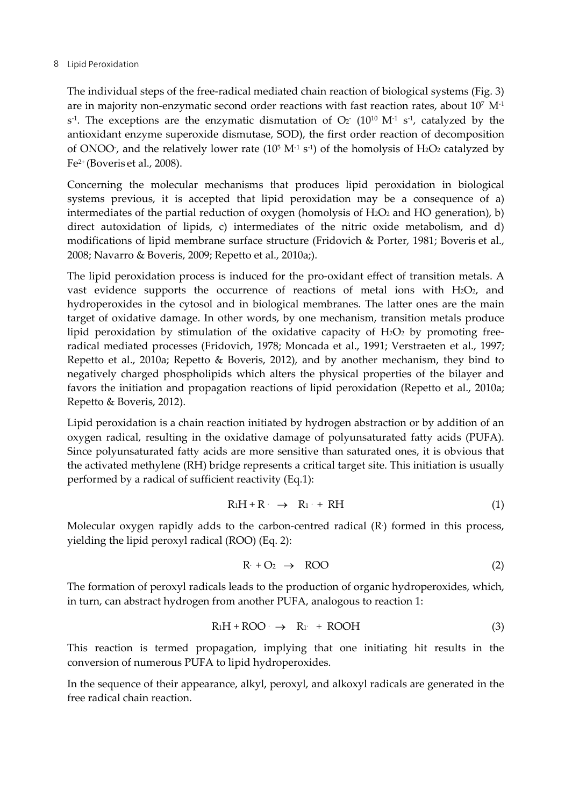The individual steps of the free-radical mediated chain reaction of biological systems (Fig. 3) are in majority non-enzymatic second order reactions with fast reaction rates, about  $10<sup>7</sup>$  M<sup>-1</sup>  $s<sup>-1</sup>$ . The exceptions are the enzymatic dismutation of  $O<sub>2</sub>$  (10<sup>10</sup> M<sup>-1</sup> s<sup>-1</sup>, catalyzed by the antioxidant enzyme superoxide dismutase, SOD), the first order reaction of decomposition of ONOO-, and the relatively lower rate  $(10^5 M<sup>-1</sup> s<sup>-1</sup>)$  of the homolysis of H<sub>2</sub>O<sub>2</sub> catalyzed by Fe2+ (Boveris et al., 2008).

Concerning the molecular mechanisms that produces lipid peroxidation in biological systems previous, it is accepted that lipid peroxidation may be a consequence of a) intermediates of the partial reduction of oxygen (homolysis of  $H_2O_2$  and  $HO$  generation), b) direct autoxidation of lipids, c) intermediates of the nitric oxide metabolism, and d) modifications of lipid membrane surface structure (Fridovich & Porter, 1981; Boveris et al., 2008; Navarro & Boveris, 2009; Repetto et al., 2010a;).

The lipid peroxidation process is induced for the pro-oxidant effect of transition metals. A vast evidence supports the occurrence of reactions of metal ions with H2O2, and hydroperoxides in the cytosol and in biological membranes. The latter ones are the main target of oxidative damage. In other words, by one mechanism, transition metals produce lipid peroxidation by stimulation of the oxidative capacity of  $H_2O_2$  by promoting freeradical mediated processes (Fridovich, 1978; Moncada et al., 1991; Verstraeten et al., 1997; Repetto et al., 2010a; Repetto & Boveris, 2012), and by another mechanism, they bind to negatively charged phospholipids which alters the physical properties of the bilayer and favors the initiation and propagation reactions of lipid peroxidation (Repetto et al., 2010a; Repetto & Boveris, 2012).

Lipid peroxidation is a chain reaction initiated by hydrogen abstraction or by addition of an oxygen radical, resulting in the oxidative damage of polyunsaturated fatty acids (PUFA). Since polyunsaturated fatty acids are more sensitive than saturated ones, it is obvious that the activated methylene (RH) bridge represents a critical target site. This initiation is usually performed by a radical of sufficient reactivity (Eq.1):

$$
R_1H + R \rightarrow R_1 + R_2 \tag{1}
$$

Molecular oxygen rapidly adds to the carbon-centred radical (R. ) formed in this process, yielding the lipid peroxyl radical (ROO) (Eq. 2):

$$
R + O_2 \rightarrow \quad \text{ROO} \tag{2}
$$

The formation of peroxyl radicals leads to the production of organic hydroperoxides, which, in turn, can abstract hydrogen from another PUFA, analogous to reaction 1:

$$
R_1H + ROO \rightarrow R_1 + ROOH \tag{3}
$$

This reaction is termed propagation, implying that one initiating hit results in the conversion of numerous PUFA to lipid hydroperoxides.

In the sequence of their appearance, alkyl, peroxyl, and alkoxyl radicals are generated in the free radical chain reaction.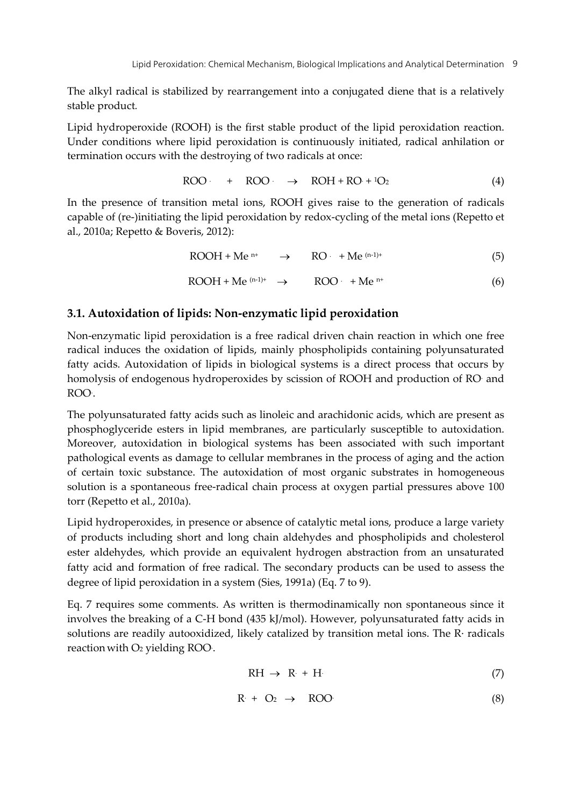The alkyl radical is stabilized by rearrangement into a conjugated diene that is a relatively stable product*.*

Lipid hydroperoxide (ROOH) is the first stable product of the lipid peroxidation reaction. Under conditions where lipid peroxidation is continuously initiated, radical anhilation or termination occurs with the destroying of two radicals at once:

$$
ROO \t + ROO \t \to ROH + RO + {}^{1}O_{2} \t (4)
$$

In the presence of transition metal ions, ROOH gives raise to the generation of radicals capable of (re-)initiating the lipid peroxidation by redox-cycling of the metal ions (Repetto et al., 2010a; Repetto & Boveris, 2012):

$$
ROOH + Men+ \rightarrow RO + Me(n-1) \tag{5}
$$

$$
ROOH + Me(n-1)+ \rightarrow ROO + Men+
$$
 (6)

#### **3.1. Autoxidation of lipids: Non-enzymatic lipid peroxidation**

Non-enzymatic lipid peroxidation is a free radical driven chain reaction in which one free radical induces the oxidation of lipids, mainly phospholipids containing polyunsaturated fatty acids. Autoxidation of lipids in biological systems is a direct process that occurs by homolysis of endogenous hydroperoxides by scission of ROOH and production of RO. and ROO. .

The polyunsaturated fatty acids such as linoleic and arachidonic acids, which are present as phosphoglyceride esters in lipid membranes, are particularly susceptible to autoxidation. Moreover, autoxidation in biological systems has been associated with such important pathological events as damage to cellular membranes in the process of aging and the action of certain toxic substance. The autoxidation of most organic substrates in homogeneous solution is a spontaneous free-radical chain process at oxygen partial pressures above 100 torr (Repetto et al., 2010a).

Lipid hydroperoxides, in presence or absence of catalytic metal ions, produce a large variety of products including short and long chain aldehydes and phospholipids and cholesterol ester aldehydes, which provide an equivalent hydrogen abstraction from an unsaturated fatty acid and formation of free radical. The secondary products can be used to assess the degree of lipid peroxidation in a system (Sies, 1991a) (Eq. 7 to 9).

Eq. 7 requires some comments. As written is thermodinamically non spontaneous since it involves the breaking of a C-H bond (435 kJ/mol). However, polyunsaturated fatty acids in solutions are readily autooxidized, likely catalized by transition metal ions. The R· radicals reaction with O2 yielding ROO. .

$$
RH \to R + H \tag{7}
$$

$$
R + O_2 \rightarrow \text{ROO} \tag{8}
$$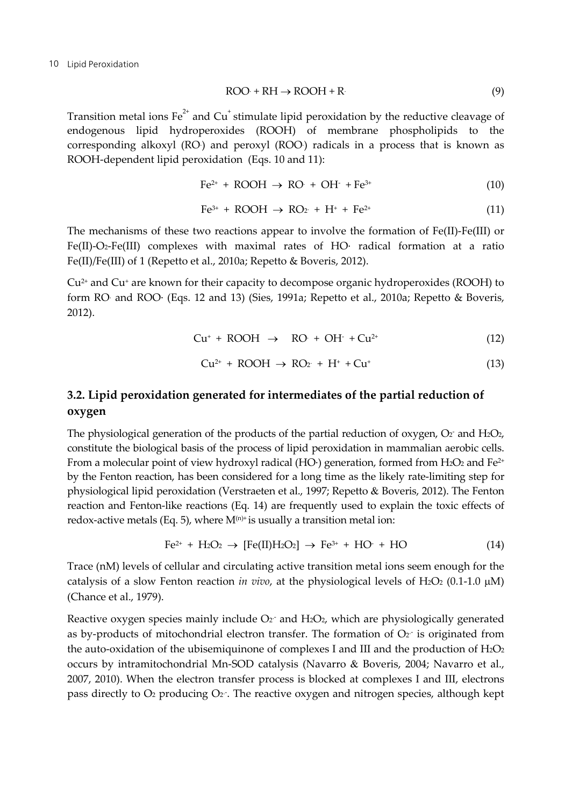$$
ROO + RH \to ROOH + R \tag{9}
$$

Transition metal ions  $Fe<sup>2+</sup>$  and Cu<sup>+</sup> stimulate lipid peroxidation by the reductive cleavage of endogenous lipid hydroperoxides (ROOH) of membrane phospholipids to the corresponding alkoxyl (RO) and peroxyl (ROO) radicals in a process that is known as ROOH-dependent lipid peroxidation (Eqs. 10 and 11):

$$
\text{Fe}^{2+} + \text{ROOH} \rightarrow \text{RO} + \text{OH} + \text{Fe}^{3+} \tag{10}
$$

$$
\text{Fe}^{3+} + \text{ROOH} \rightarrow \text{RO}_{2} + \text{H}^+ + \text{Fe}^{2+} \tag{11}
$$

The mechanisms of these two reactions appear to involve the formation of Fe(II)-Fe(III) or Fe(II)-O2-Fe(III) complexes with maximal rates of HO· radical formation at a ratio Fe(II)/Fe(III) of 1 (Repetto et al., 2010a; Repetto & Boveris, 2012).

Cu2+ and Cu+ are known for their capacity to decompose organic hydroperoxides (ROOH) to form RO. and ROO· (Eqs. 12 and 13) (Sies, 1991a; Repetto et al., 2010a; Repetto & Boveris, 2012).

$$
Cu^{+} + ROOH \rightarrow RO + OH + Cu^{2+}
$$
 (12)

$$
Cu^{2+} + \text{ROOH} \rightarrow \text{RO}_{2} + H^+ + Cu^+ \tag{13}
$$

### **3.2. Lipid peroxidation generated for intermediates of the partial reduction of oxygen**

The physiological generation of the products of the partial reduction of oxygen,  $O_2$  and H<sub>2</sub>O<sub>2</sub>, constitute the biological basis of the process of lipid peroxidation in mammalian aerobic cells. From a molecular point of view hydroxyl radical (HO·) generation, formed from H2O2 and Fe<sup>2+</sup> by the Fenton reaction, has been considered for a long time as the likely rate-limiting step for physiological lipid peroxidation (Verstraeten et al., 1997; Repetto & Boveris, 2012). The Fenton reaction and Fenton-like reactions (Eq. 14) are frequently used to explain the toxic effects of redox-active metals (Eq. 5), where  $M^{(n)+}$  is usually a transition metal ion:

$$
\text{Fe}^{2+} + \text{H}_2\text{O}_2 \rightarrow \text{[Fe(II)H}_2\text{O}_2] \rightarrow \text{Fe}^{3+} + \text{HO} + \text{HO} \tag{14}
$$

Trace (nM) levels of cellular and circulating active transition metal ions seem enough for the catalysis of a slow Fenton reaction *in vivo*, at the physiological levels of H<sub>2</sub>O<sub>2</sub> (0.1-1.0  $\mu$ M) (Chance et al., 1979).

Reactive oxygen species mainly include  $O_2$ - and H<sub>2</sub>O<sub>2</sub>, which are physiologically generated as by-products of mitochondrial electron transfer. The formation of  $O<sub>2</sub>$  is originated from the auto-oxidation of the ubisemiquinone of complexes I and III and the production of H<sub>2</sub>O<sub>2</sub> occurs by intramitochondrial Mn-SOD catalysis (Navarro & Boveris, 2004; Navarro et al., 2007, 2010). When the electron transfer process is blocked at complexes I and III, electrons pass directly to  $O_2$  producing  $O_2$ . The reactive oxygen and nitrogen species, although kept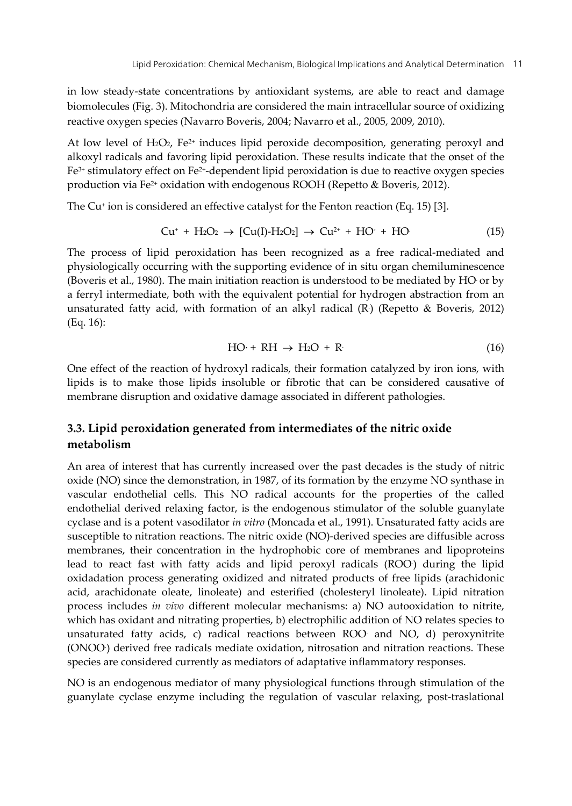in low steady-state concentrations by antioxidant systems, are able to react and damage biomolecules (Fig. 3). Mitochondria are considered the main intracellular source of oxidizing reactive oxygen species (Navarro Boveris, 2004; Navarro et al., 2005, 2009, 2010).

At low level of H<sub>2</sub>O<sub>2</sub>, Fe<sup>2+</sup> induces lipid peroxide decomposition, generating peroxyl and alkoxyl radicals and favoring lipid peroxidation. These results indicate that the onset of the  $Fe<sup>3+</sup>$  stimulatory effect on  $Fe<sup>2+</sup>$ -dependent lipid peroxidation is due to reactive oxygen species production via  $Fe^{2+}$  oxidation with endogenous ROOH (Repetto & Boveris, 2012).

The Cu<sup>+</sup> ion is considered an effective catalyst for the Fenton reaction (Eq. 15) [3].

$$
Cu^{+} + H_{2}O_{2} \rightarrow [Cu(I) - H_{2}O_{2}] \rightarrow Cu^{2+} + HO^{-} + HO^{-}
$$
\n
$$
(15)
$$

The process of lipid peroxidation has been recognized as a free radical-mediated and physiologically occurring with the supporting evidence of in situ organ chemiluminescence (Boveris et al., 1980). The main initiation reaction is understood to be mediated by HO or by a ferryl intermediate, both with the equivalent potential for hydrogen abstraction from an unsaturated fatty acid, with formation of an alkyl radical (R) (Repetto & Boveris, 2012) (Eq. 16):

$$
HO^+ \, RH \to H_2O + R \tag{16}
$$

One effect of the reaction of hydroxyl radicals, their formation catalyzed by iron ions, with lipids is to make those lipids insoluble or fibrotic that can be considered causative of membrane disruption and oxidative damage associated in different pathologies.

### **3.3. Lipid peroxidation generated from intermediates of the nitric oxide metabolism**

An area of interest that has currently increased over the past decades is the study of nitric oxide (NO) since the demonstration, in 1987, of its formation by the enzyme NO synthase in vascular endothelial cells. This NO radical accounts for the properties of the called endothelial derived relaxing factor, is the endogenous stimulator of the soluble guanylate cyclase and is a potent vasodilator *in vitro* (Moncada et al., 1991). Unsaturated fatty acids are susceptible to nitration reactions. The nitric oxide (NO)-derived species are diffusible across membranes, their concentration in the hydrophobic core of membranes and lipoproteins lead to react fast with fatty acids and lipid peroxyl radicals (ROO. ) during the lipid oxidadation process generating oxidized and nitrated products of free lipids (arachidonic acid, arachidonate oleate, linoleate) and esterified (cholesteryl linoleate). Lipid nitration process includes *in vivo* different molecular mechanisms: a) NO autooxidation to nitrite, which has oxidant and nitrating properties, b) electrophilic addition of NO relates species to unsaturated fatty acids, c) radical reactions between ROO. and NO, d) peroxynitrite (ONOO. ) derived free radicals mediate oxidation, nitrosation and nitration reactions. These species are considered currently as mediators of adaptative inflammatory responses.

NO is an endogenous mediator of many physiological functions through stimulation of the guanylate cyclase enzyme including the regulation of vascular relaxing, post-traslational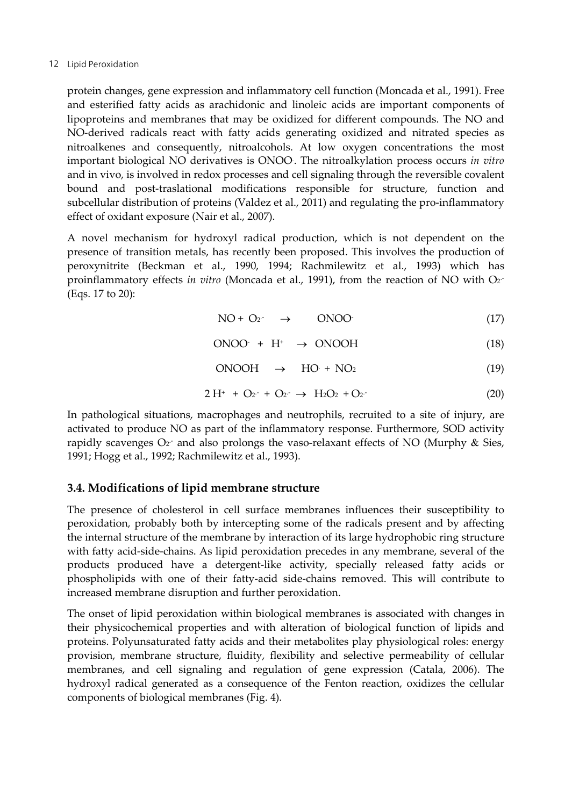protein changes, gene expression and inflammatory cell function (Moncada et al., 1991). Free and esterified fatty acids as arachidonic and linoleic acids are important components of lipoproteins and membranes that may be oxidized for different compounds. The NO and NO-derived radicals react with fatty acids generating oxidized and nitrated species as nitroalkenes and consequently, nitroalcohols. At low oxygen concentrations the most important biological NO derivatives is ONOO. . The nitroalkylation process occurs *in vitro* and in vivo, is involved in redox processes and cell signaling through the reversible covalent bound and post-traslational modifications responsible for structure, function and subcellular distribution of proteins (Valdez et al., 2011) and regulating the pro-inflammatory effect of oxidant exposure (Nair et al., 2007).

A novel mechanism for hydroxyl radical production, which is not dependent on the presence of transition metals, has recently been proposed. This involves the production of peroxynitrite (Beckman et al., 1990, 1994; Rachmilewitz et al., 1993) which has proinflammatory effects *in vitro* (Moncada et al., 1991), from the reaction of NO with O<sub>2</sub><sup>-</sup> (Eqs. 17 to 20):

$$
NO + O2 \rightarrow ONOO \qquad (17)
$$

$$
ONOO^{+} + H^{+} \rightarrow ONOOH
$$
 (18)

 $ONOOH \rightarrow HO + NO_2$  (19)

$$
2 H^{+} + O_{2} + O_{2} + \rightarrow H_{2}O_{2} + O_{2} \tag{20}
$$

In pathological situations, macrophages and neutrophils, recruited to a site of injury, are activated to produce NO as part of the inflammatory response. Furthermore, SOD activity rapidly scavenges  $O_2$ <sup>-</sup> and also prolongs the vaso-relaxant effects of NO (Murphy & Sies, 1991; Hogg et al., 1992; Rachmilewitz et al., 1993).

### **3.4. Modifications of lipid membrane structure**

The presence of cholesterol in cell surface membranes influences their susceptibility to peroxidation, probably both by intercepting some of the radicals present and by affecting the internal structure of the membrane by interaction of its large hydrophobic ring structure with fatty acid-side-chains. As lipid peroxidation precedes in any membrane, several of the products produced have a detergent-like activity, specially released fatty acids or phospholipids with one of their fatty-acid side-chains removed. This will contribute to increased membrane disruption and further peroxidation.

The onset of lipid peroxidation within biological membranes is associated with changes in their physicochemical properties and with alteration of biological function of lipids and proteins. Polyunsaturated fatty acids and their metabolites play physiological roles: energy provision, membrane structure, fluidity, flexibility and selective permeability of cellular membranes, and cell signaling and regulation of gene expression (Catala, 2006). The hydroxyl radical generated as a consequence of the Fenton reaction, oxidizes the cellular components of biological membranes (Fig. 4).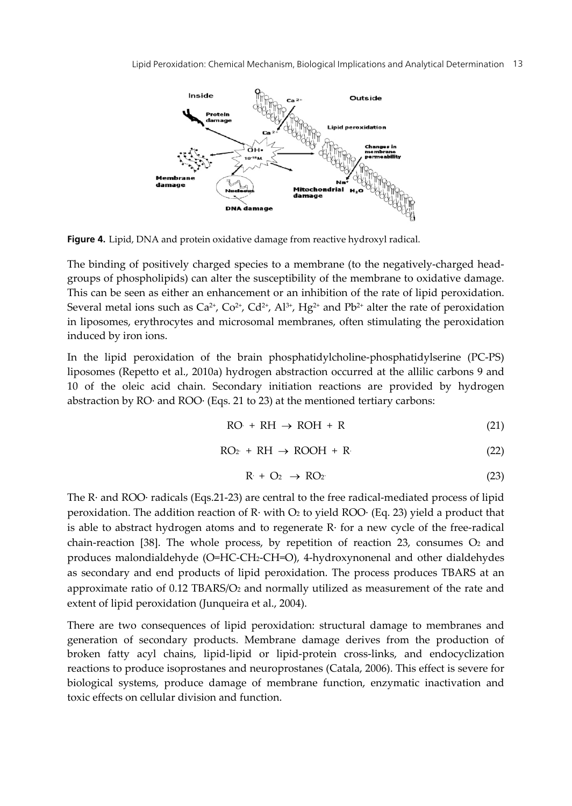

**Figure 4.** Lipid, DNA and protein oxidative damage from reactive hydroxyl radical.

The binding of positively charged species to a membrane (to the negatively-charged headgroups of phospholipids) can alter the susceptibility of the membrane to oxidative damage. This can be seen as either an enhancement or an inhibition of the rate of lipid peroxidation. Several metal ions such as Ca<sup>2+</sup>, Co<sup>2+</sup>, Cd<sup>2+</sup>, Al<sup>3+</sup>, Hg<sup>2+</sup> and Pb<sup>2+</sup> alter the rate of peroxidation in liposomes, erythrocytes and microsomal membranes, often stimulating the peroxidation induced by iron ions.

In the lipid peroxidation of the brain phosphatidylcholine-phosphatidylserine (PC-PS) liposomes (Repetto et al., 2010a) hydrogen abstraction occurred at the allilic carbons 9 and 10 of the oleic acid chain. Secondary initiation reactions are provided by hydrogen abstraction by RO· and ROO· (Eqs. 21 to 23) at the mentioned tertiary carbons:

$$
RO + RH \to ROH + R \tag{21}
$$

$$
RO2 + RH \rightarrow ROOH + R
$$
 (22)

$$
R + Q_2 \rightarrow RQ_2 \tag{23}
$$

The R· and ROO· radicals (Eqs.21-23) are central to the free radical-mediated process of lipid peroxidation. The addition reaction of R· with O2 to yield ROO· (Eq. 23) yield a product that is able to abstract hydrogen atoms and to regenerate R· for a new cycle of the free-radical chain-reaction [38]. The whole process, by repetition of reaction 23, consumes  $O<sub>2</sub>$  and produces malondialdehyde (O=HC-CH2-CH=O), 4-hydroxynonenal and other dialdehydes as secondary and end products of lipid peroxidation. The process produces TBARS at an approximate ratio of 0.12 TBARS/O2 and normally utilized as measurement of the rate and extent of lipid peroxidation (Junqueira et al., 2004).

There are two consequences of lipid peroxidation: structural damage to membranes and generation of secondary products. Membrane damage derives from the production of broken fatty acyl chains, lipid-lipid or lipid-protein cross-links, and endocyclization reactions to produce isoprostanes and neuroprostanes (Catala, 2006). This effect is severe for biological systems, produce damage of membrane function, enzymatic inactivation and toxic effects on cellular division and function.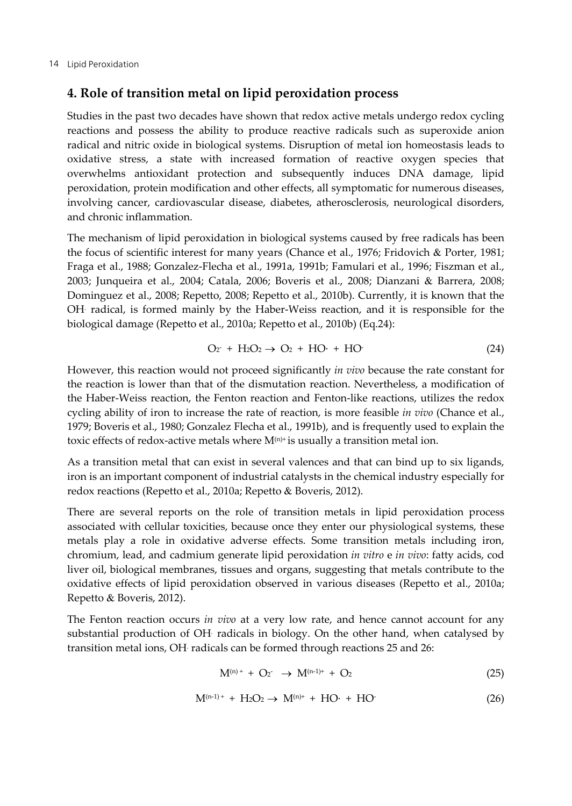### **4. Role of transition metal on lipid peroxidation process**

Studies in the past two decades have shown that redox active metals undergo redox cycling reactions and possess the ability to produce reactive radicals such as superoxide anion radical and nitric oxide in biological systems. Disruption of metal ion homeostasis leads to oxidative stress, a state with increased formation of reactive oxygen species that overwhelms antioxidant protection and subsequently induces DNA damage, lipid peroxidation, protein modification and other effects, all symptomatic for numerous diseases, involving cancer, cardiovascular disease, diabetes, atherosclerosis, neurological disorders, and chronic inflammation.

The mechanism of lipid peroxidation in biological systems caused by free radicals has been the focus of scientific interest for many years (Chance et al., 1976; Fridovich & Porter, 1981; Fraga et al., 1988; Gonzalez-Flecha et al., 1991a, 1991b; Famulari et al., 1996; Fiszman et al., 2003; Junqueira et al., 2004; Catala, 2006; Boveris et al., 2008; Dianzani & Barrera, 2008; Dominguez et al., 2008; Repetto, 2008; Repetto et al., 2010b). Currently, it is known that the OH. radical, is formed mainly by the Haber-Weiss reaction, and it is responsible for the biological damage (Repetto et al., 2010a; Repetto et al., 2010b) (Eq.24):

$$
\mathrm{O}_{2}^{\cdot} + \mathrm{H}_{2}\mathrm{O}_{2} \rightarrow \mathrm{O}_{2} + \mathrm{HO}^{\cdot} + \mathrm{HO}^{\cdot} \tag{24}
$$

However, this reaction would not proceed significantly *in vivo* because the rate constant for the reaction is lower than that of the dismutation reaction. Nevertheless, a modification of the Haber-Weiss reaction, the Fenton reaction and Fenton-like reactions, utilizes the redox cycling ability of iron to increase the rate of reaction, is more feasible *in vivo* (Chance et al., 1979; Boveris et al., 1980; Gonzalez Flecha et al., 1991b), and is frequently used to explain the toxic effects of redox-active metals where  $M^{(n)+}$  is usually a transition metal ion.

As a transition metal that can exist in several valences and that can bind up to six ligands, iron is an important component of industrial catalysts in the chemical industry especially for redox reactions (Repetto et al., 2010a; Repetto & Boveris, 2012).

There are several reports on the role of transition metals in lipid peroxidation process associated with cellular toxicities, because once they enter our physiological systems, these metals play a role in oxidative adverse effects. Some transition metals including iron, chromium, lead, and cadmium generate lipid peroxidation *in vitro* e *in vivo*: fatty acids, cod liver oil, biological membranes, tissues and organs, suggesting that metals contribute to the oxidative effects of lipid peroxidation observed in various diseases (Repetto et al., 2010a; Repetto & Boveris, 2012).

The Fenton reaction occurs *in vivo* at a very low rate, and hence cannot account for any substantial production of OH. radicals in biology. On the other hand, when catalysed by transition metal ions, OH $\,$  radicals can be formed through reactions 25 and 26:

$$
M^{(n)+} + O_2 \rightarrow M^{(n-1)+} + O_2 \tag{25}
$$

$$
M^{(n-1)+} + H_2O_2 \rightarrow M^{(n)+} + HO \cdot + HO \tag{26}
$$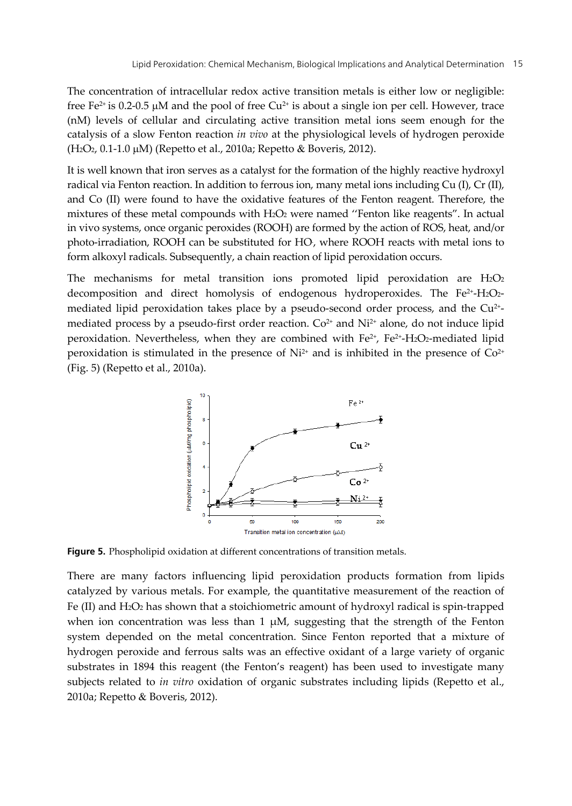The concentration of intracellular redox active transition metals is either low or negligible: free Fe<sup>2+</sup> is 0.2-0.5  $\mu$ M and the pool of free Cu<sup>2+</sup> is about a single ion per cell. However, trace (nM) levels of cellular and circulating active transition metal ions seem enough for the catalysis of a slow Fenton reaction *in vivo* at the physiological levels of hydrogen peroxide (H<sub>2</sub>O<sub>2</sub>, 0.1-1.0 μM) (Repetto et al., 2010a; Repetto & Boveris, 2012).

It is well known that iron serves as a catalyst for the formation of the highly reactive hydroxyl radical via Fenton reaction. In addition to ferrous ion, many metal ions including Cu (I), Cr (II), and Co (II) were found to have the oxidative features of the Fenton reagent. Therefore, the mixtures of these metal compounds with H<sub>2</sub>O<sub>2</sub> were named "Fenton like reagents". In actual in vivo systems, once organic peroxides (ROOH) are formed by the action of ROS, heat, and/or photo-irradiation, ROOH can be substituted for HO. , where ROOH reacts with metal ions to form alkoxyl radicals. Subsequently, a chain reaction of lipid peroxidation occurs.

The mechanisms for metal transition ions promoted lipid peroxidation are  $H_2O_2$ decomposition and direct homolysis of endogenous hydroperoxides. The Fe<sup>2+</sup>-H<sub>2</sub>O<sub>2</sub>mediated lipid peroxidation takes place by a pseudo-second order process, and the  $Cu^{2+}$ mediated process by a pseudo-first order reaction.  $Co^{2+}$  and  $Ni^{2+}$  alone, do not induce lipid peroxidation. Nevertheless, when they are combined with  $Fe^{2+}$ ,  $Fe^{2+}$ -H<sub>2</sub>O<sub>2</sub>-mediated lipid peroxidation is stimulated in the presence of  $Ni^{2+}$  and is inhibited in the presence of  $Co^{2+}$ (Fig. 5) (Repetto et al., 2010a).



**Figure 5.** Phospholipid oxidation at different concentrations of transition metals.

There are many factors influencing lipid peroxidation products formation from lipids catalyzed by various metals. For example, the quantitative measurement of the reaction of Fe  $(II)$  and  $H_2O_2$  has shown that a stoichiometric amount of hydroxyl radical is spin-trapped when ion concentration was less than  $1 \mu M$ , suggesting that the strength of the Fenton system depended on the metal concentration. Since Fenton reported that a mixture of hydrogen peroxide and ferrous salts was an effective oxidant of a large variety of organic substrates in 1894 this reagent (the Fenton's reagent) has been used to investigate many subjects related to *in vitro* oxidation of organic substrates including lipids (Repetto et al., 2010a; Repetto & Boveris, 2012).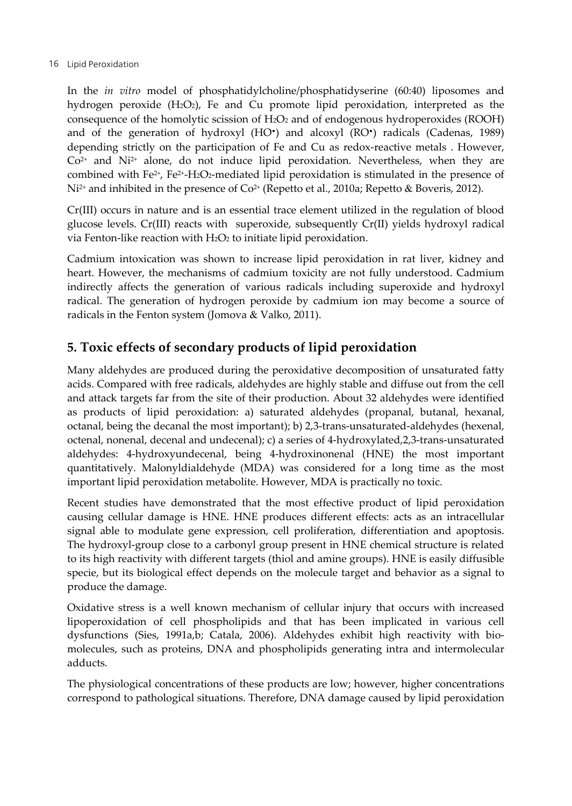In the *in vitro* model of phosphatidylcholine/phosphatidyserine (60:40) liposomes and hydrogen peroxide (H2O2), Fe and Cu promote lipid peroxidation, interpreted as the consequence of the homolytic scission of H2O2 and of endogenous hydroperoxides (ROOH) and of the generation of hydroxyl (HO•) and alcoxyl (RO•) radicals (Cadenas, 1989) depending strictly on the participation of Fe and Cu as redox-reactive metals . However,  $Co<sup>2+</sup>$  and Ni<sup>2+</sup> alone, do not induce lipid peroxidation. Nevertheless, when they are combined with Fe<sup>2+</sup>, Fe<sup>2+</sup>-H<sub>2</sub>O<sub>2</sub>-mediated lipid peroxidation is stimulated in the presence of  $Ni<sup>2+</sup>$  and inhibited in the presence of Co<sup>2+</sup> (Repetto et al., 2010a; Repetto & Boveris, 2012).

Cr(III) occurs in nature and is an essential trace element utilized in the regulation of blood glucose levels. Cr(III) reacts with superoxide, subsequently Cr(II) yields hydroxyl radical via Fenton-like reaction with H2O2 to initiate lipid peroxidation.

Cadmium intoxication was shown to increase lipid peroxidation in rat liver, kidney and heart. However, the mechanisms of cadmium toxicity are not fully understood. Cadmium indirectly affects the generation of various radicals including superoxide and hydroxyl radical. The generation of hydrogen peroxide by cadmium ion may become a source of radicals in the Fenton system (Jomova & Valko, 2011).

# **5. Toxic effects of secondary products of lipid peroxidation**

Many aldehydes are produced during the peroxidative decomposition of unsaturated fatty acids. Compared with free radicals, aldehydes are highly stable and diffuse out from the cell and attack targets far from the site of their production. About 32 aldehydes were identified as products of lipid peroxidation: a) saturated aldehydes (propanal, butanal, hexanal, octanal, being the decanal the most important); b) 2,3-trans-unsaturated-aldehydes (hexenal, octenal, nonenal, decenal and undecenal); c) a series of 4-hydroxylated,2,3-trans-unsaturated aldehydes: 4-hydroxyundecenal, being 4-hydroxinonenal (HNE) the most important quantitatively. Malonyldialdehyde (MDA) was considered for a long time as the most important lipid peroxidation metabolite. However, MDA is practically no toxic.

Recent studies have demonstrated that the most effective product of lipid peroxidation causing cellular damage is HNE. HNE produces different effects: acts as an intracellular signal able to modulate gene expression, cell proliferation, differentiation and apoptosis. The hydroxyl-group close to a carbonyl group present in HNE chemical structure is related to its high reactivity with different targets (thiol and amine groups). HNE is easily diffusible specie, but its biological effect depends on the molecule target and behavior as a signal to produce the damage.

Oxidative stress is a well known mechanism of cellular injury that occurs with increased lipoperoxidation of cell phospholipids and that has been implicated in various cell dysfunctions (Sies, 1991a,b; Catala, 2006). Aldehydes exhibit high reactivity with biomolecules, such as proteins, DNA and phospholipids generating intra and intermolecular adducts.

The physiological concentrations of these products are low; however, higher concentrations correspond to pathological situations. Therefore, DNA damage caused by lipid peroxidation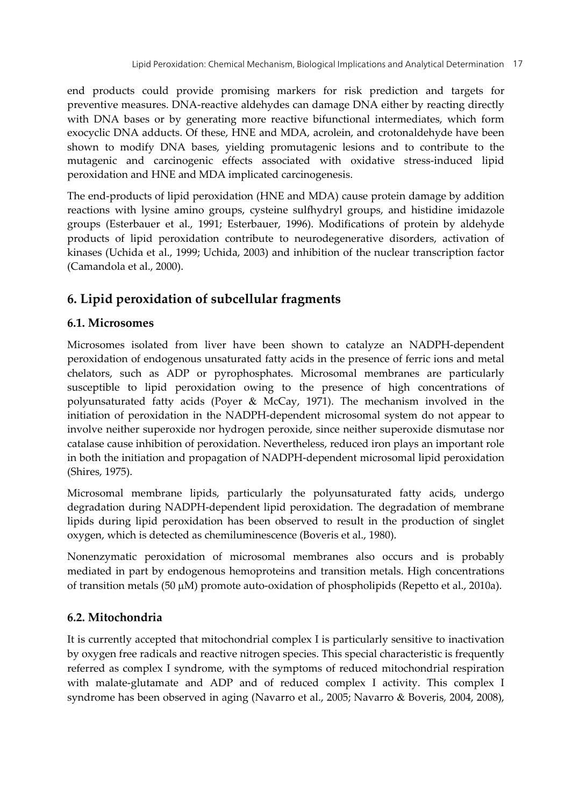end products could provide promising markers for risk prediction and targets for preventive measures. DNA-reactive aldehydes can damage DNA either by reacting directly with DNA bases or by generating more reactive bifunctional intermediates, which form exocyclic DNA adducts. Of these, HNE and MDA, acrolein, and crotonaldehyde have been shown to modify DNA bases, yielding promutagenic lesions and to contribute to the mutagenic and carcinogenic effects associated with oxidative stress-induced lipid peroxidation and HNE and MDA implicated carcinogenesis.

The end-products of lipid peroxidation (HNE and MDA) cause protein damage by addition reactions with lysine amino groups, cysteine sulfhydryl groups, and histidine imidazole groups (Esterbauer et al., 1991; Esterbauer, 1996). Modifications of protein by aldehyde products of lipid peroxidation contribute to neurodegenerative disorders, activation of kinases (Uchida et al., 1999; Uchida, 2003) and inhibition of the nuclear transcription factor (Camandola et al., 2000).

# **6. Lipid peroxidation of subcellular fragments**

### **6.1. Microsomes**

Microsomes isolated from liver have been shown to catalyze an NADPH-dependent peroxidation of endogenous unsaturated fatty acids in the presence of ferric ions and metal chelators, such as ADP or pyrophosphates. Microsomal membranes are particularly susceptible to lipid peroxidation owing to the presence of high concentrations of polyunsaturated fatty acids (Poyer & McCay, 1971). The mechanism involved in the initiation of peroxidation in the NADPH-dependent microsomal system do not appear to involve neither superoxide nor hydrogen peroxide, since neither superoxide dismutase nor catalase cause inhibition of peroxidation. Nevertheless, reduced iron plays an important role in both the initiation and propagation of NADPH-dependent microsomal lipid peroxidation (Shires, 1975).

Microsomal membrane lipids, particularly the polyunsaturated fatty acids, undergo degradation during NADPH-dependent lipid peroxidation. The degradation of membrane lipids during lipid peroxidation has been observed to result in the production of singlet oxygen, which is detected as chemiluminescence (Boveris et al., 1980).

Nonenzymatic peroxidation of microsomal membranes also occurs and is probably mediated in part by endogenous hemoproteins and transition metals. High concentrations of transition metals (50  $\mu$ M) promote auto-oxidation of phospholipids (Repetto et al., 2010a).

### **6.2. Mitochondria**

It is currently accepted that mitochondrial complex I is particularly sensitive to inactivation by oxygen free radicals and reactive nitrogen species. This special characteristic is frequently referred as complex I syndrome, with the symptoms of reduced mitochondrial respiration with malate-glutamate and ADP and of reduced complex I activity. This complex I syndrome has been observed in aging (Navarro et al., 2005; Navarro & Boveris, 2004, 2008),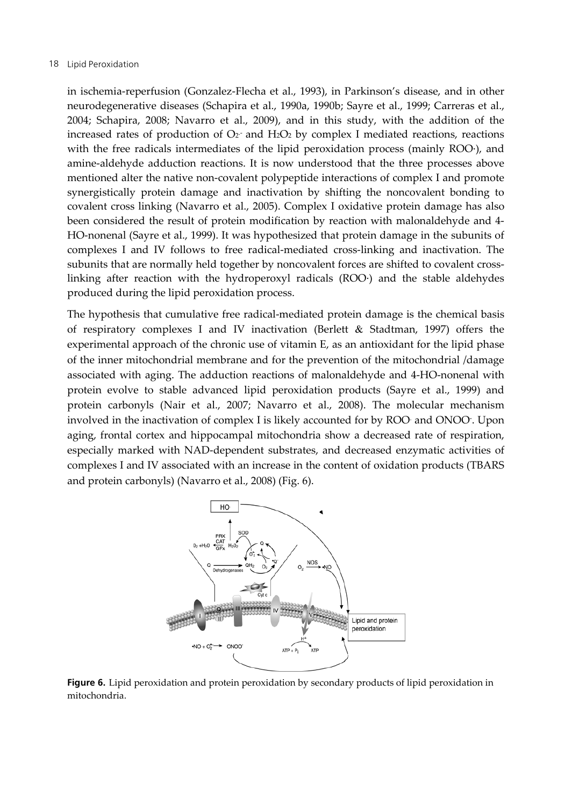in ischemia-reperfusion (Gonzalez-Flecha et al., 1993), in Parkinson's disease, and in other neurodegenerative diseases (Schapira et al., 1990a, 1990b; Sayre et al., 1999; Carreras et al., 2004; Schapira, 2008; Navarro et al., 2009), and in this study, with the addition of the increased rates of production of  $O<sub>2</sub>$  and  $H<sub>2</sub>O<sub>2</sub>$  by complex I mediated reactions, reactions with the free radicals intermediates of the lipid peroxidation process (mainly ROO·), and amine-aldehyde adduction reactions. It is now understood that the three processes above mentioned alter the native non-covalent polypeptide interactions of complex I and promote synergistically protein damage and inactivation by shifting the noncovalent bonding to covalent cross linking (Navarro et al., 2005). Complex I oxidative protein damage has also been considered the result of protein modification by reaction with malonaldehyde and 4- HO-nonenal (Sayre et al., 1999). It was hypothesized that protein damage in the subunits of complexes I and IV follows to free radical-mediated cross-linking and inactivation. The subunits that are normally held together by noncovalent forces are shifted to covalent crosslinking after reaction with the hydroperoxyl radicals (ROO·) and the stable aldehydes produced during the lipid peroxidation process.

The hypothesis that cumulative free radical-mediated protein damage is the chemical basis of respiratory complexes I and IV inactivation (Berlett  $\&$  Stadtman, 1997) offers the experimental approach of the chronic use of vitamin E, as an antioxidant for the lipid phase of the inner mitochondrial membrane and for the prevention of the mitochondrial /damage associated with aging. The adduction reactions of malonaldehyde and 4-HO-nonenal with protein evolve to stable advanced lipid peroxidation products (Sayre et al., 1999) and protein carbonyls (Nair et al., 2007; Navarro et al., 2008). The molecular mechanism involved in the inactivation of complex I is likely accounted for by ROO. and ONOO- . Upon aging, frontal cortex and hippocampal mitochondria show a decreased rate of respiration, especially marked with NAD-dependent substrates, and decreased enzymatic activities of complexes I and IV associated with an increase in the content of oxidation products (TBARS and protein carbonyls) (Navarro et al., 2008) (Fig. 6).



**Figure 6.** Lipid peroxidation and protein peroxidation by secondary products of lipid peroxidation in mitochondria.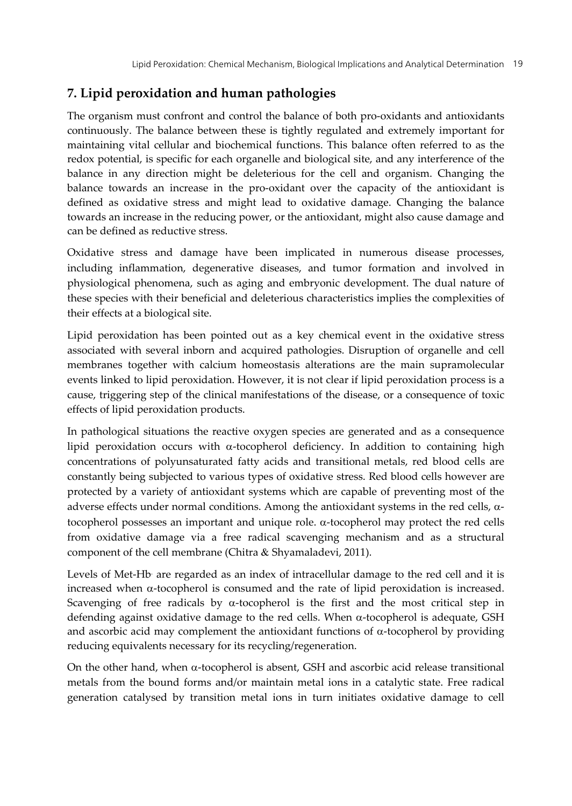# **7. Lipid peroxidation and human pathologies**

The organism must confront and control the balance of both pro-oxidants and antioxidants continuously. The balance between these is tightly regulated and extremely important for maintaining vital cellular and biochemical functions. This balance often referred to as the redox potential, is specific for each organelle and biological site, and any interference of the balance in any direction might be deleterious for the cell and organism. Changing the balance towards an increase in the pro-oxidant over the capacity of the antioxidant is defined as oxidative stress and might lead to oxidative damage. Changing the balance towards an increase in the reducing power, or the antioxidant, might also cause damage and can be defined as reductive stress.

Oxidative stress and damage have been implicated in numerous disease processes, including inflammation, degenerative diseases, and tumor formation and involved in physiological phenomena, such as aging and embryonic development. The dual nature of these species with their beneficial and deleterious characteristics implies the complexities of their effects at a biological site.

Lipid peroxidation has been pointed out as a key chemical event in the oxidative stress associated with several inborn and acquired pathologies. Disruption of organelle and cell membranes together with calcium homeostasis alterations are the main supramolecular events linked to lipid peroxidation. However, it is not clear if lipid peroxidation process is a cause, triggering step of the clinical manifestations of the disease, or a consequence of toxic effects of lipid peroxidation products.

In pathological situations the reactive oxygen species are generated and as a consequence lipid peroxidation occurs with  $\alpha$ -tocopherol deficiency. In addition to containing high concentrations of polyunsaturated fatty acids and transitional metals, red blood cells are constantly being subjected to various types of oxidative stress. Red blood cells however are protected by a variety of antioxidant systems which are capable of preventing most of the adverse effects under normal conditions. Among the antioxidant systems in the red cells,  $\alpha$ tocopherol possesses an important and unique role.  $\alpha$ -tocopherol may protect the red cells from oxidative damage via a free radical scavenging mechanism and as a structural component of the cell membrane (Chitra & Shyamaladevi, 2011).

Levels of Met-Hb. are regarded as an index of intracellular damage to the red cell and it is increased when  $\alpha$ -tocopherol is consumed and the rate of lipid peroxidation is increased. Scavenging of free radicals by  $\alpha$ -tocopherol is the first and the most critical step in defending against oxidative damage to the red cells. When  $\alpha$ -tocopherol is adequate, GSH and ascorbic acid may complement the antioxidant functions of  $\alpha$ -tocopherol by providing reducing equivalents necessary for its recycling/regeneration.

On the other hand, when  $\alpha$ -tocopherol is absent, GSH and ascorbic acid release transitional metals from the bound forms and/or maintain metal ions in a catalytic state. Free radical generation catalysed by transition metal ions in turn initiates oxidative damage to cell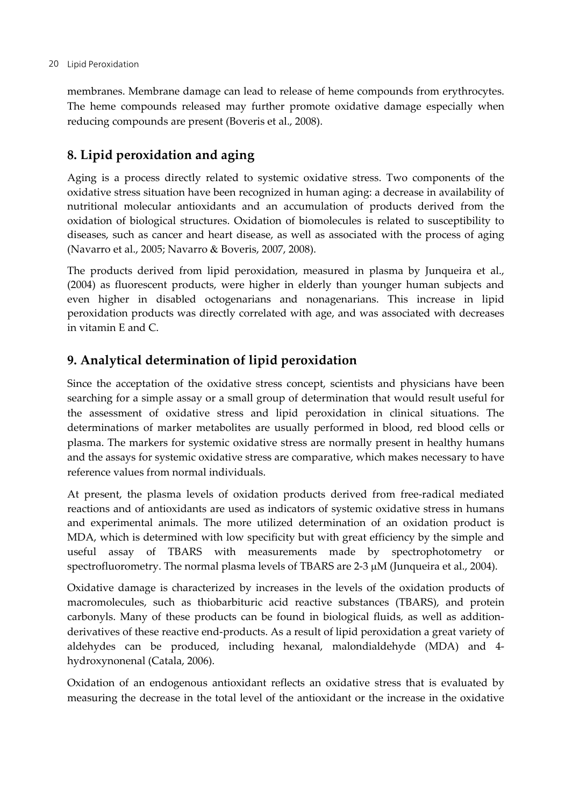membranes. Membrane damage can lead to release of heme compounds from erythrocytes. The heme compounds released may further promote oxidative damage especially when reducing compounds are present (Boveris et al., 2008).

# **8. Lipid peroxidation and aging**

Aging is a process directly related to systemic oxidative stress. Two components of the oxidative stress situation have been recognized in human aging: a decrease in availability of nutritional molecular antioxidants and an accumulation of products derived from the oxidation of biological structures. Oxidation of biomolecules is related to susceptibility to diseases, such as cancer and heart disease, as well as associated with the process of aging (Navarro et al., 2005; Navarro & Boveris, 2007, 2008).

The products derived from lipid peroxidation, measured in plasma by Junqueira et al., (2004) as fluorescent products, were higher in elderly than younger human subjects and even higher in disabled octogenarians and nonagenarians. This increase in lipid peroxidation products was directly correlated with age, and was associated with decreases in vitamin E and C.

# **9. Analytical determination of lipid peroxidation**

Since the acceptation of the oxidative stress concept, scientists and physicians have been searching for a simple assay or a small group of determination that would result useful for the assessment of oxidative stress and lipid peroxidation in clinical situations. The determinations of marker metabolites are usually performed in blood, red blood cells or plasma. The markers for systemic oxidative stress are normally present in healthy humans and the assays for systemic oxidative stress are comparative, which makes necessary to have reference values from normal individuals.

At present, the plasma levels of oxidation products derived from free-radical mediated reactions and of antioxidants are used as indicators of systemic oxidative stress in humans and experimental animals. The more utilized determination of an oxidation product is MDA, which is determined with low specificity but with great efficiency by the simple and useful assay of TBARS with measurements made by spectrophotometry or spectrofluorometry. The normal plasma levels of TBARS are 2-3  $\mu$ M (Junqueira et al., 2004).

Oxidative damage is characterized by increases in the levels of the oxidation products of macromolecules, such as thiobarbituric acid reactive substances (TBARS), and protein carbonyls. Many of these products can be found in biological fluids, as well as additionderivatives of these reactive end-products. As a result of lipid peroxidation a great variety of aldehydes can be produced, including hexanal, malondialdehyde (MDA) and 4 hydroxynonenal (Catala, 2006).

Oxidation of an endogenous antioxidant reflects an oxidative stress that is evaluated by measuring the decrease in the total level of the antioxidant or the increase in the oxidative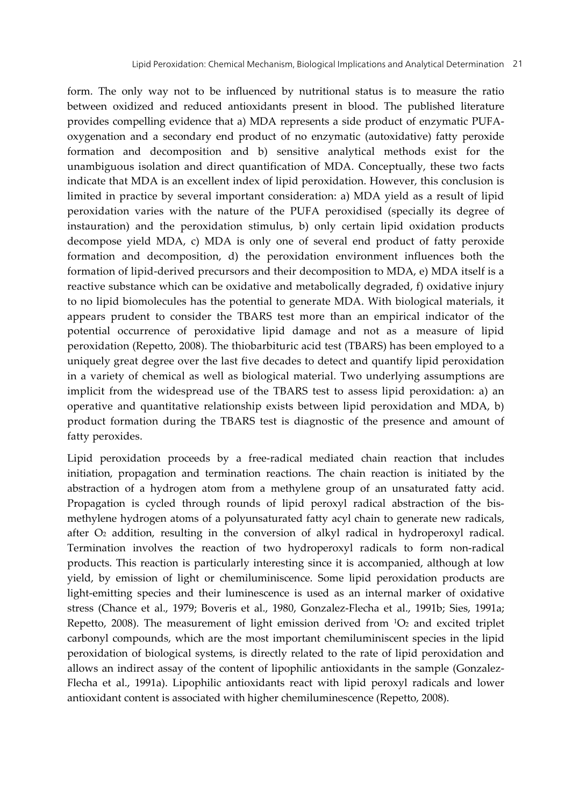form. The only way not to be influenced by nutritional status is to measure the ratio between oxidized and reduced antioxidants present in blood. The published literature provides compelling evidence that a) MDA represents a side product of enzymatic PUFAoxygenation and a secondary end product of no enzymatic (autoxidative) fatty peroxide formation and decomposition and b) sensitive analytical methods exist for the unambiguous isolation and direct quantification of MDA. Conceptually, these two facts indicate that MDA is an excellent index of lipid peroxidation. However, this conclusion is limited in practice by several important consideration: a) MDA yield as a result of lipid peroxidation varies with the nature of the PUFA peroxidised (specially its degree of instauration) and the peroxidation stimulus, b) only certain lipid oxidation products decompose yield MDA, c) MDA is only one of several end product of fatty peroxide formation and decomposition, d) the peroxidation environment influences both the formation of lipid-derived precursors and their decomposition to MDA, e) MDA itself is a reactive substance which can be oxidative and metabolically degraded, f) oxidative injury to no lipid biomolecules has the potential to generate MDA. With biological materials, it appears prudent to consider the TBARS test more than an empirical indicator of the potential occurrence of peroxidative lipid damage and not as a measure of lipid peroxidation (Repetto, 2008). The thiobarbituric acid test (TBARS) has been employed to a uniquely great degree over the last five decades to detect and quantify lipid peroxidation in a variety of chemical as well as biological material. Two underlying assumptions are implicit from the widespread use of the TBARS test to assess lipid peroxidation: a) an operative and quantitative relationship exists between lipid peroxidation and MDA, b) product formation during the TBARS test is diagnostic of the presence and amount of fatty peroxides.

Lipid peroxidation proceeds by a free-radical mediated chain reaction that includes initiation, propagation and termination reactions. The chain reaction is initiated by the abstraction of a hydrogen atom from a methylene group of an unsaturated fatty acid. Propagation is cycled through rounds of lipid peroxyl radical abstraction of the bismethylene hydrogen atoms of a polyunsaturated fatty acyl chain to generate new radicals, after O2 addition, resulting in the conversion of alkyl radical in hydroperoxyl radical. Termination involves the reaction of two hydroperoxyl radicals to form non-radical products. This reaction is particularly interesting since it is accompanied, although at low yield, by emission of light or chemiluminiscence. Some lipid peroxidation products are light-emitting species and their luminescence is used as an internal marker of oxidative stress (Chance et al., 1979; Boveris et al., 1980, Gonzalez-Flecha et al., 1991b; Sies, 1991a; Repetto, 2008). The measurement of light emission derived from  ${}^{1}O_{2}$  and excited triplet carbonyl compounds, which are the most important chemiluminiscent species in the lipid peroxidation of biological systems, is directly related to the rate of lipid peroxidation and allows an indirect assay of the content of lipophilic antioxidants in the sample (Gonzalez-Flecha et al., 1991a). Lipophilic antioxidants react with lipid peroxyl radicals and lower antioxidant content is associated with higher chemiluminescence (Repetto, 2008).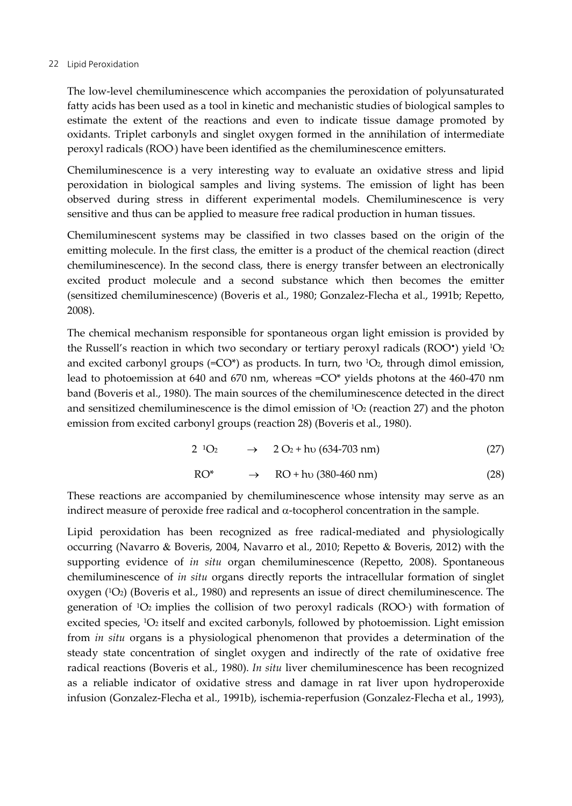The low-level chemiluminescence which accompanies the peroxidation of polyunsaturated fatty acids has been used as a tool in kinetic and mechanistic studies of biological samples to estimate the extent of the reactions and even to indicate tissue damage promoted by oxidants. Triplet carbonyls and singlet oxygen formed in the annihilation of intermediate peroxyl radicals (ROO. ) have been identified as the chemiluminescence emitters.

Chemiluminescence is a very interesting way to evaluate an oxidative stress and lipid peroxidation in biological samples and living systems. The emission of light has been observed during stress in different experimental models. Chemiluminescence is very sensitive and thus can be applied to measure free radical production in human tissues.

Chemiluminescent systems may be classified in two classes based on the origin of the emitting molecule. In the first class, the emitter is a product of the chemical reaction (direct chemiluminescence). In the second class, there is energy transfer between an electronically excited product molecule and a second substance which then becomes the emitter (sensitized chemiluminescence) (Boveris et al., 1980; Gonzalez-Flecha et al., 1991b; Repetto, 2008).

The chemical mechanism responsible for spontaneous organ light emission is provided by the Russell's reaction in which two secondary or tertiary peroxyl radicals (ROO<sup>•</sup>) yield <sup>1</sup>O<sub>2</sub> and excited carbonyl groups (= $CO^*$ ) as products. In turn, two  ${}^{1}O_{2}$ , through dimol emission, lead to photoemission at 640 and 670 nm, whereas =CO\* yields photons at the 460-470 nm band (Boveris et al., 1980). The main sources of the chemiluminescence detected in the direct and sensitized chemiluminescence is the dimol emission of  ${}^{1}O_{2}$  (reaction 27) and the photon emission from excited carbonyl groups (reaction 28) (Boveris et al., 1980).

$$
2 \, {}^{1}O_{2} \qquad \rightarrow \qquad 2 \, O_{2} + \text{hv} \, (634-703 \, \text{nm}) \tag{27}
$$

$$
RO^* \qquad \rightarrow \quad RO + hv (380-460 nm) \tag{28}
$$

These reactions are accompanied by chemiluminescence whose intensity may serve as an indirect measure of peroxide free radical and  $\alpha$ -tocopherol concentration in the sample.

Lipid peroxidation has been recognized as free radical-mediated and physiologically occurring (Navarro & Boveris, 2004, Navarro et al., 2010; Repetto & Boveris, 2012) with the supporting evidence of *in situ* organ chemiluminescence (Repetto, 2008). Spontaneous chemiluminescence of *in situ* organs directly reports the intracellular formation of singlet oxygen  $(1O<sub>2</sub>)$  (Boveris et al., 1980) and represents an issue of direct chemiluminescence. The generation of  ${}^{1}O_{2}$  implies the collision of two peroxyl radicals (ROO·) with formation of excited species, <sup>1</sup>O<sub>2</sub> itself and excited carbonyls, followed by photoemission. Light emission from *in situ* organs is a physiological phenomenon that provides a determination of the steady state concentration of singlet oxygen and indirectly of the rate of oxidative free radical reactions (Boveris et al., 1980). *In situ* liver chemiluminescence has been recognized as a reliable indicator of oxidative stress and damage in rat liver upon hydroperoxide infusion (Gonzalez-Flecha et al., 1991b), ischemia-reperfusion (Gonzalez-Flecha et al., 1993),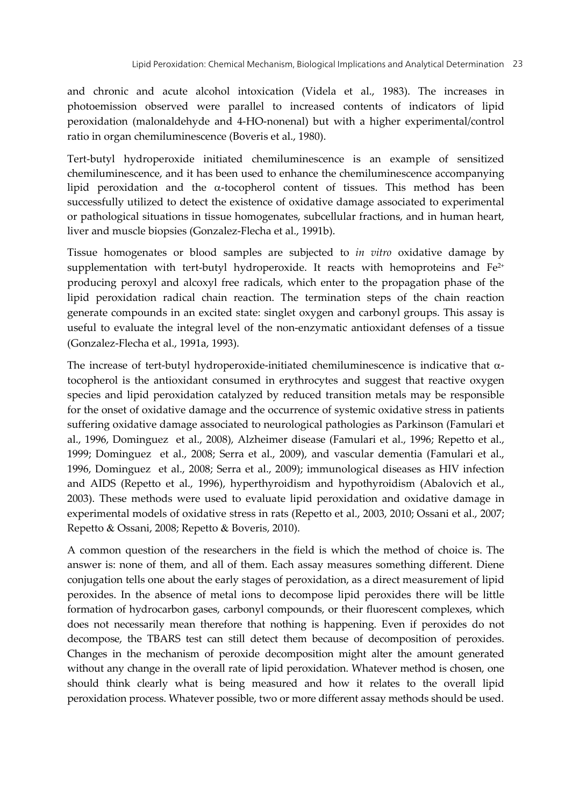and chronic and acute alcohol intoxication (Videla et al., 1983). The increases in photoemission observed were parallel to increased contents of indicators of lipid peroxidation (malonaldehyde and 4-HO-nonenal) but with a higher experimental/control ratio in organ chemiluminescence (Boveris et al., 1980).

Tert-butyl hydroperoxide initiated chemiluminescence is an example of sensitized chemiluminescence, and it has been used to enhance the chemiluminescence accompanying lipid peroxidation and the  $\alpha$ -tocopherol content of tissues. This method has been successfully utilized to detect the existence of oxidative damage associated to experimental or pathological situations in tissue homogenates, subcellular fractions, and in human heart, liver and muscle biopsies (Gonzalez-Flecha et al., 1991b).

Tissue homogenates or blood samples are subjected to *in vitro* oxidative damage by supplementation with tert-butyl hydroperoxide. It reacts with hemoproteins and  $Fe^{2+}$ producing peroxyl and alcoxyl free radicals, which enter to the propagation phase of the lipid peroxidation radical chain reaction. The termination steps of the chain reaction generate compounds in an excited state: singlet oxygen and carbonyl groups. This assay is useful to evaluate the integral level of the non-enzymatic antioxidant defenses of a tissue (Gonzalez-Flecha et al., 1991a, 1993).

The increase of tert-butyl hydroperoxide-initiated chemiluminescence is indicative that  $\alpha$ tocopherol is the antioxidant consumed in erythrocytes and suggest that reactive oxygen species and lipid peroxidation catalyzed by reduced transition metals may be responsible for the onset of oxidative damage and the occurrence of systemic oxidative stress in patients suffering oxidative damage associated to neurological pathologies as Parkinson (Famulari et al., 1996, Dominguez et al., 2008), Alzheimer disease (Famulari et al., 1996; Repetto et al., 1999; Dominguez et al., 2008; Serra et al., 2009), and vascular dementia (Famulari et al., 1996, Dominguez et al., 2008; Serra et al., 2009); immunological diseases as HIV infection and AIDS (Repetto et al., 1996), hyperthyroidism and hypothyroidism (Abalovich et al., 2003). These methods were used to evaluate lipid peroxidation and oxidative damage in experimental models of oxidative stress in rats (Repetto et al., 2003, 2010; Ossani et al., 2007; Repetto & Ossani, 2008; Repetto & Boveris, 2010).

A common question of the researchers in the field is which the method of choice is. The answer is: none of them, and all of them. Each assay measures something different. Diene conjugation tells one about the early stages of peroxidation, as a direct measurement of lipid peroxides. In the absence of metal ions to decompose lipid peroxides there will be little formation of hydrocarbon gases, carbonyl compounds, or their fluorescent complexes, which does not necessarily mean therefore that nothing is happening. Even if peroxides do not decompose, the TBARS test can still detect them because of decomposition of peroxides. Changes in the mechanism of peroxide decomposition might alter the amount generated without any change in the overall rate of lipid peroxidation. Whatever method is chosen, one should think clearly what is being measured and how it relates to the overall lipid peroxidation process. Whatever possible, two or more different assay methods should be used.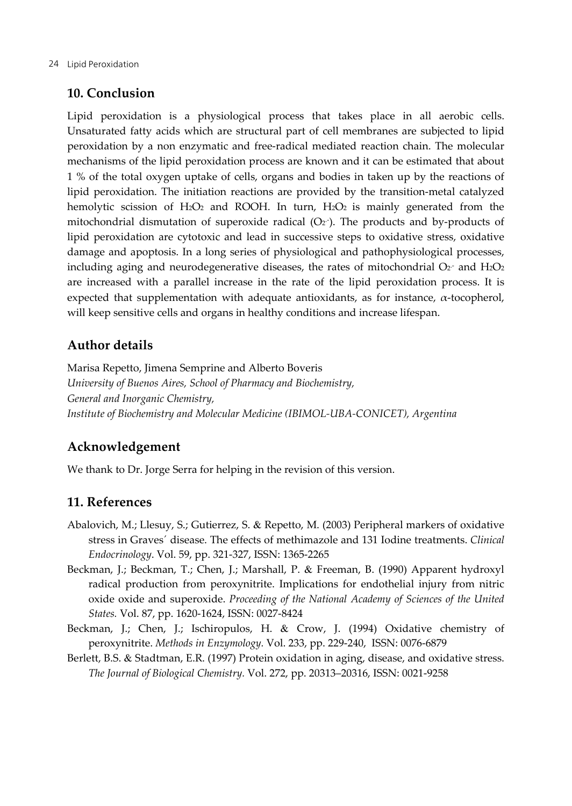### **10. Conclusion**

Lipid peroxidation is a physiological process that takes place in all aerobic cells. Unsaturated fatty acids which are structural part of cell membranes are subjected to lipid peroxidation by a non enzymatic and free-radical mediated reaction chain. The molecular mechanisms of the lipid peroxidation process are known and it can be estimated that about 1 % of the total oxygen uptake of cells, organs and bodies in taken up by the reactions of lipid peroxidation. The initiation reactions are provided by the transition-metal catalyzed hemolytic scission of H2O2 and ROOH. In turn,  $H_2O_2$  is mainly generated from the mitochondrial dismutation of superoxide radical  $(O_2)$ . The products and by-products of lipid peroxidation are cytotoxic and lead in successive steps to oxidative stress, oxidative damage and apoptosis. In a long series of physiological and pathophysiological processes, including aging and neurodegenerative diseases, the rates of mitochondrial  $O<sub>2</sub>$  and H<sub>2</sub>O<sub>2</sub> are increased with a parallel increase in the rate of the lipid peroxidation process. It is expected that supplementation with adequate antioxidants, as for instance,  $\alpha$ -tocopherol, will keep sensitive cells and organs in healthy conditions and increase lifespan.

# **Author details**

Marisa Repetto, Jimena Semprine and Alberto Boveris *University of Buenos Aires, School of Pharmacy and Biochemistry, General and Inorganic Chemistry, Institute of Biochemistry and Molecular Medicine (IBIMOL-UBA-CONICET), Argentina* 

# **Acknowledgement**

We thank to Dr. Jorge Serra for helping in the revision of this version.

### **11. References**

- Abalovich, M.; Llesuy, S.; Gutierrez, S. & Repetto, M. (2003) Peripheral markers of oxidative stress in Graves´ disease. The effects of methimazole and 131 Iodine treatments. *Clinical Endocrinology*. Vol. 59, pp. 321-327, ISSN: 1365-2265
- Beckman, J.; Beckman, T.; Chen, J.; Marshall, P. & Freeman, B. (1990) Apparent hydroxyl radical production from peroxynitrite. Implications for endothelial injury from nitric oxide oxide and superoxide. *Proceeding of the National Academy of Sciences of the United States.* Vol. 87, pp. 1620-1624, ISSN: 0027-8424
- Beckman, J.; Chen, J.; Ischiropulos, H. & Crow, J. (1994) Oxidative chemistry of peroxynitrite. *Methods in Enzymology.* Vol. 233, pp. 229-240, ISSN: 0076-6879
- Berlett, B.S. & Stadtman, E.R. (1997) Protein oxidation in aging, disease, and oxidative stress. *The Journal of Biological Chemistry.* Vol. 272, pp. 20313–20316, ISSN: 0021-9258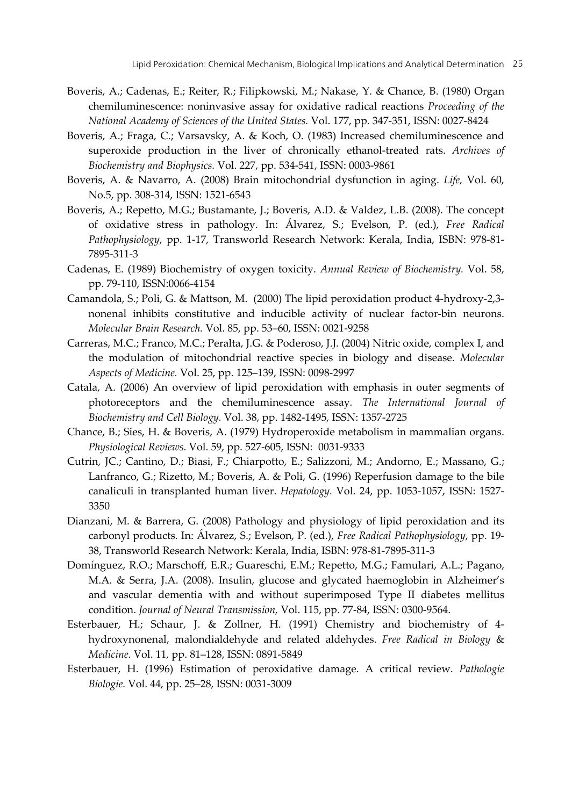- Boveris, A.; Cadenas, E.; Reiter, R.; Filipkowski, M.; Nakase, Y. & Chance, B. (1980) Organ chemiluminescence: noninvasive assay for oxidative radical reactions *Proceeding of the National Academy of Sciences of the United States.* Vol. 177, pp. 347-351, ISSN: 0027-8424
- Boveris, A.; Fraga, C.; Varsavsky, A. & Koch, O. (1983) Increased chemiluminescence and superoxide production in the liver of chronically ethanol-treated rats. *Archives of Biochemistry and Biophysics.* Vol. 227, pp. 534-541, ISSN: 0003-9861
- Boveris, A. & Navarro, A. (2008) Brain mitochondrial dysfunction in aging. *Life,* Vol. 60, No.5, pp. 308-314, ISSN: 1521-6543
- Boveris, A.; Repetto, M.G.; Bustamante, J.; Boveris, A.D. & Valdez, L.B. (2008). The concept of oxidative stress in pathology. In: Álvarez, S.; Evelson, P. (ed.), *Free Radical Pathophysiology*, pp. 1-17, Transworld Research Network: Kerala, India, ISBN: 978-81- 7895-311-3
- Cadenas, E. (1989) Biochemistry of oxygen toxicity. *Annual Review of Biochemistry.* Vol. 58, pp. 79-110, ISSN:0066-4154
- Camandola, S.; Poli, G. & Mattson, M. (2000) The lipid peroxidation product 4-hydroxy-2,3 nonenal inhibits constitutive and inducible activity of nuclear factor-bin neurons. *Molecular Brain Research.* Vol. 85, pp. 53–60, ISSN: 0021-9258
- Carreras, M.C.; Franco, M.C.; Peralta, J.G. & Poderoso, J.J. (2004) Nitric oxide, complex I, and the modulation of mitochondrial reactive species in biology and disease. *Molecular Aspects of Medicine.* Vol. 25, pp. 125–139, ISSN: 0098-2997
- Catala, A. (2006) An overview of lipid peroxidation with emphasis in outer segments of photoreceptors and the chemiluminescence assay*. The International Journal of Biochemistry and Cell Biology.* Vol. 38, pp. 1482-1495, ISSN: 1357-2725
- Chance, B.; Sies, H. & Boveris, A. (1979) Hydroperoxide metabolism in mammalian organs. *Physiological Reviews*. Vol. 59, pp. 527-605, ISSN:0031-9333
- Cutrin, JC.; Cantino, D.; Biasi, F.; Chiarpotto, E.; Salizzoni, M.; Andorno, E.; Massano, G.; Lanfranco, G.; Rizetto, M.; Boveris, A. & Poli, G. (1996) Reperfusion damage to the bile canaliculi in transplanted human liver. *Hepatology.* Vol. 24, pp. 1053-1057, ISSN: 1527- 3350
- Dianzani, M. & Barrera, G. (2008) Pathology and physiology of lipid peroxidation and its carbonyl products. In: Álvarez, S.; Evelson, P. (ed.), *Free Radical Pathophysiology*, pp. 19- 38, Transworld Research Network: Kerala, India, ISBN: 978-81-7895-311-3
- Domínguez, R.O.; Marschoff, E.R.; Guareschi, E.M.; Repetto, M.G.; Famulari, A.L.; Pagano, M.A. & Serra, J.A. (2008). Insulin, glucose and glycated haemoglobin in Alzheimer's and vascular dementia with and without superimposed Type II diabetes mellitus condition. *Journal of Neural Transmission,* Vol. 115, pp. 77-84, ISSN: 0300-9564.
- Esterbauer, H.; Schaur, J. & Zollner, H. (1991) Chemistry and biochemistry of 4 hydroxynonenal, malondialdehyde and related aldehydes. *Free Radical in Biology* & *Medicine.* Vol. 11, pp. 81–128, ISSN: 0891-5849
- Esterbauer, H. (1996) Estimation of peroxidative damage. A critical review. *Pathologie Biologie.* Vol. 44, pp. 25–28, ISSN: 0031-3009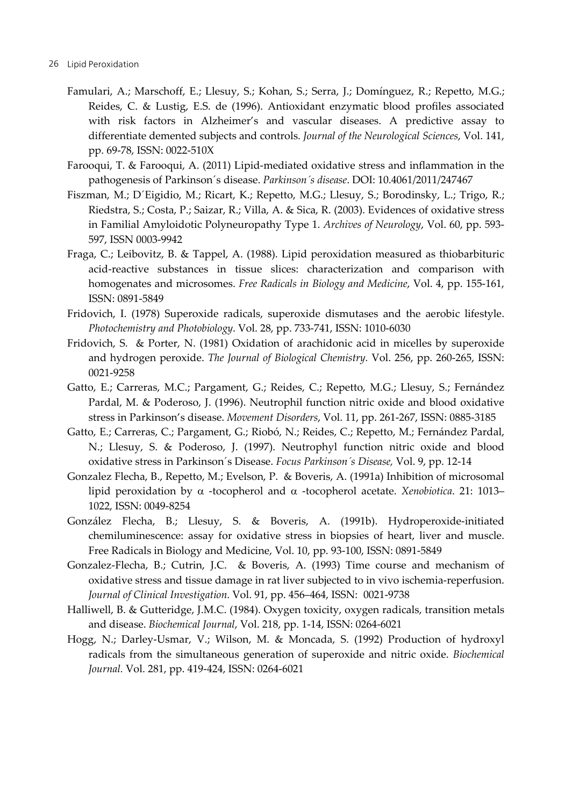- Famulari, A.; Marschoff, E.; Llesuy, S.; Kohan, S.; Serra, J.; Domínguez, R.; Repetto, M.G.; Reides, C. & Lustig, E.S. de (1996). Antioxidant enzymatic blood profiles associated with risk factors in Alzheimer's and vascular diseases. A predictive assay to differentiate demented subjects and controls. *Journal of the Neurological Sciences*, Vol. 141, pp. 69-78, ISSN: 0022-510X
- Farooqui, T. & Farooqui, A. (2011) Lipid-mediated oxidative stress and inflammation in the pathogenesis of Parkinson´s disease. *Parkinson´s disease*. DOI: 10.4061/2011/247467
- Fiszman, M.; D´Eigidio, M.; Ricart, K.; Repetto, M.G.; Llesuy, S.; Borodinsky, L.; Trigo, R.; Riedstra, S.; Costa, P.; Saizar, R.; Villa, A. & Sica, R. (2003). Evidences of oxidative stress in Familial Amyloidotic Polyneuropathy Type 1. *Archives of Neurology*, Vol. 60, pp. 593- 597, ISSN 0003-9942
- Fraga, C.; Leibovitz, B. & Tappel, A. (1988). Lipid peroxidation measured as thiobarbituric acid-reactive substances in tissue slices: characterization and comparison with homogenates and microsomes. *Free Radicals in Biology and Medicine*, Vol. 4, pp. 155-161, ISSN: 0891-5849
- Fridovich, I. (1978) Superoxide radicals, superoxide dismutases and the aerobic lifestyle. *Photochemistry and Photobiology*. Vol. 28, pp. 733-741, ISSN: 1010-6030
- Fridovich, S. & Porter, N. (1981) Oxidation of arachidonic acid in micelles by superoxide and hydrogen peroxide. *The Journal of Biological Chemistry.* Vol. 256, pp. 260-265, ISSN: 0021-9258
- Gatto, E.; Carreras, M.C.; Pargament, G.; Reides, C.; Repetto, M.G.; Llesuy, S.; Fernández Pardal, M. & Poderoso, J. (1996). Neutrophil function nitric oxide and blood oxidative stress in Parkinson's disease. *Movement Disorders*, Vol. 11, pp. 261-267, ISSN: 0885-3185
- Gatto, E.; Carreras, C.; Pargament, G.; Riobó, N.; Reides, C.; Repetto, M.; Fernández Pardal, N.; Llesuy, S. & Poderoso, J. (1997). Neutrophyl function nitric oxide and blood oxidative stress in Parkinson´s Disease. *Focus Parkinson´s Disease,* Vol. 9, pp. 12-14
- Gonzalez Flecha, B., Repetto, M.; Evelson, P. & Boveris, A. (1991a) Inhibition of microsomal lipid peroxidation by  $\alpha$  -tocopherol and  $\alpha$  -tocopherol acetate. *Xenobiotica*. 21: 1013– 1022, ISSN: 0049-8254
- González Flecha, B.; Llesuy, S. & Boveris, A. (1991b). Hydroperoxide-initiated chemiluminescence: assay for oxidative stress in biopsies of heart, liver and muscle. Free Radicals in Biology and Medicine, Vol. 10, pp. 93-100, ISSN: 0891-5849
- Gonzalez-Flecha, B.; Cutrin, J.C. & Boveris, A. (1993) Time course and mechanism of oxidative stress and tissue damage in rat liver subjected to in vivo ischemia-reperfusion. Journal of Clinical Investigation. Vol. 91, pp. 456-464, ISSN: 0021-9738
- Halliwell, B. & Gutteridge, J.M.C. (1984). Oxygen toxicity, oxygen radicals, transition metals and disease. *Biochemical Journal*, Vol. 218, pp. 1-14, ISSN: 0264-6021
- Hogg, N.; Darley-Usmar, V.; Wilson, M. & Moncada, S. (1992) Production of hydroxyl radicals from the simultaneous generation of superoxide and nitric oxide. *Biochemical Journal.* Vol. 281, pp. 419-424, ISSN: 0264-6021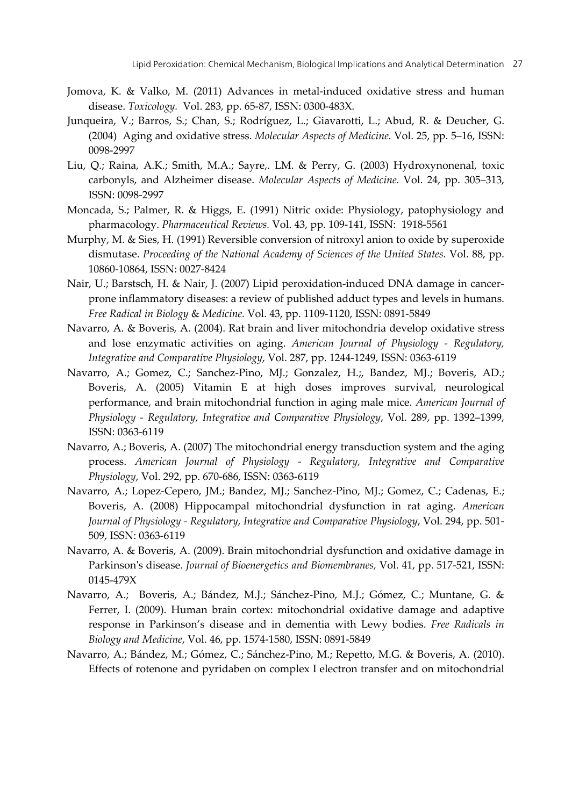- Jomova, K. & Valko, M. (2011) Advances in metal-induced oxidative stress and human disease. *Toxicology.* Vol. 283, pp. 65-87, ISSN: 0300-483X.
- Junqueira, V.; Barros, S.; Chan, S.; Rodríguez, L.; Giavarotti, L.; Abud, R. & Deucher, G. (2004) Aging and oxidative stress. *Molecular Aspects of Medicine.* Vol. 25, pp. 5–16, ISSN: 0098-2997
- Liu, Q.; Raina, A.K.; Smith, M.A.; Sayre,. LM. & Perry, G. (2003) Hydroxynonenal, toxic carbonyls, and Alzheimer disease. *Molecular Aspects of Medicine.* Vol. 24, pp. 305–313, ISSN: 0098-2997
- Moncada, S.; Palmer, R. & Higgs, E. (1991) Nitric oxide: Physiology, patophysiology and pharmacology. *Pharmaceutical Reviews.* Vol. 43, pp. 109-141, ISSN:1918-5561
- Murphy, M. & Sies, H. (1991) Reversible conversion of nitroxyl anion to oxide by superoxide dismutase. *Proceeding of the National Academy of Sciences of the United States.* Vol. 88, pp. 10860-10864, ISSN: 0027-8424
- Nair, U.; Barstsch, H. & Nair, J. (2007) Lipid peroxidation-induced DNA damage in cancerprone inflammatory diseases: a review of published adduct types and levels in humans. *Free Radical in Biology* & *Medicine.* Vol. 43, pp. 1109-1120, ISSN: 0891-5849
- Navarro, A. & Boveris, A. (2004). Rat brain and liver mitochondria develop oxidative stress and lose enzymatic activities on aging. *American Journal of Physiology - Regulatory, Integrative and Comparative Physiology*, Vol. 287, pp. 1244-1249, ISSN: 0363-6119
- Navarro, A.; Gomez, C.; Sanchez-Pino, MJ.; Gonzalez, H.;, Bandez, MJ.; Boveris, AD.; Boveris, A. (2005) Vitamin E at high doses improves survival, neurological performance, and brain mitochondrial function in aging male mice. *American Journal of Physiology - Regulatory, Integrative and Comparative Physiology*, Vol. 289, pp. 1392–1399, ISSN: 0363-6119
- Navarro, A.; Boveris, A. (2007) The mitochondrial energy transduction system and the aging process. *American Journal of Physiology - Regulatory, Integrative and Comparative Physiology*, Vol. 292, pp. 670-686, ISSN: 0363-6119
- Navarro, A.; Lopez-Cepero, JM.; Bandez, MJ.; Sanchez-Pino, MJ.; Gomez, C.; Cadenas, E.; Boveris, A. (2008) Hippocampal mitochondrial dysfunction in rat aging. *American Journal of Physiology - Regulatory, Integrative and Comparative Physiology*, Vol. 294, pp. 501- 509, ISSN: 0363-6119
- Navarro, A. & Boveris, A. (2009). Brain mitochondrial dysfunction and oxidative damage in Parkinson's disease. *Journal of Bioenergetics and Biomembranes,* Vol. 41, pp. 517-521, ISSN: 0145-479X
- Navarro, A.; Boveris, A.; Bández, M.J.; Sánchez-Pino, M.J.; Gómez, C.; Muntane, G. & Ferrer, I. (2009). Human brain cortex: mitochondrial oxidative damage and adaptive response in Parkinson's disease and in dementia with Lewy bodies. *Free Radicals in Biology and Medicine*, Vol. 46, pp. 1574-1580, ISSN: 0891-5849
- Navarro, A.; Bández, M.; Gómez, C.; Sánchez-Pino, M.; Repetto, M.G. & Boveris, A. (2010). Effects of rotenone and pyridaben on complex I electron transfer and on mitochondrial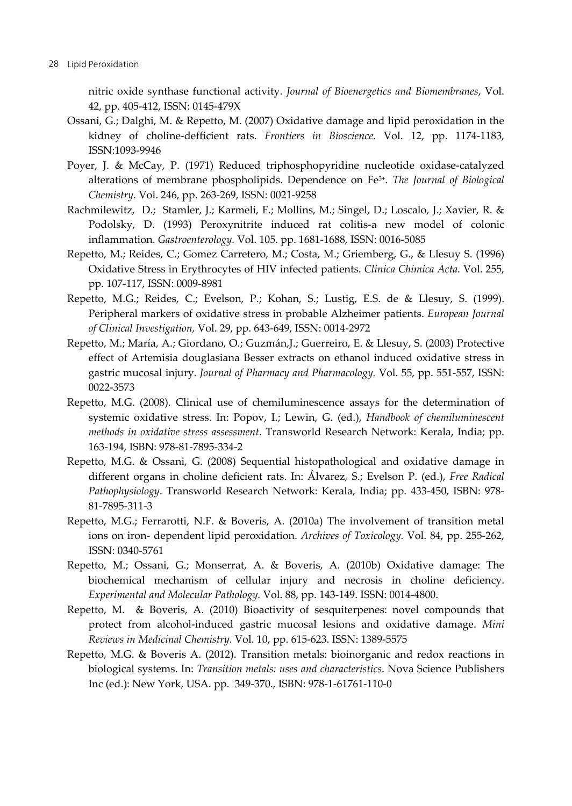nitric oxide synthase functional activity. *Journal of Bioenergetics and Biomembranes*, Vol. 42, pp. 405-412, ISSN: 0145-479X

- Ossani, G.; Dalghi, M. & Repetto, M. (2007) Oxidative damage and lipid peroxidation in the kidney of choline-defficient rats. *Frontiers in Bioscience.* Vol. 12, pp. 1174-1183, ISSN:1093-9946
- Poyer, J. & McCay, P. (1971) Reduced triphosphopyridine nucleotide oxidase-catalyzed alterations of membrane phospholipids. Dependence on Fe3+. *The Journal of Biological Chemistry.* Vol. 246, pp. 263-269, ISSN: 0021-9258
- Rachmilewitz, D.; Stamler, J.; Karmeli, F.; Mollins, M.; Singel, D.; Loscalo, J.; Xavier, R. & Podolsky, D. (1993) Peroxynitrite induced rat colitis-a new model of colonic inflammation. *Gastroenterology.* Vol. 105. pp. 1681-1688, ISSN: 0016-5085
- Repetto, M.; Reides, C.; Gomez Carretero, M.; Costa, M.; Griemberg, G., & Llesuy S. (1996) Oxidative Stress in Erythrocytes of HIV infected patients. *Clinica Chimica Acta.* Vol. 255, pp. 107-117, ISSN: 0009-8981
- Repetto, M.G.; Reides, C.; Evelson, P.; Kohan, S.; Lustig, E.S. de & Llesuy, S. (1999). Peripheral markers of oxidative stress in probable Alzheimer patients. *European Journal of Clinical Investigation,* Vol. 29, pp. 643-649, ISSN: 0014-2972
- Repetto, M.; María, A.; Giordano, O.; Guzmán,J.; Guerreiro, E. & Llesuy, S. (2003) Protective effect of Artemisia douglasiana Besser extracts on ethanol induced oxidative stress in gastric mucosal injury. *Journal of Pharmacy and Pharmacology.* Vol. 55, pp. 551-557, ISSN: 0022-3573
- Repetto, M.G. (2008). Clinical use of chemiluminescence assays for the determination of systemic oxidative stress. In: Popov, I.; Lewin, G. (ed.), *Handbook of chemiluminescent methods in oxidative stress assessment*. Transworld Research Network: Kerala, India; pp. 163-194, ISBN: 978-81-7895-334-2
- Repetto, M.G. & Ossani, G. (2008) Sequential histopathological and oxidative damage in different organs in choline deficient rats. In: Álvarez, S.; Evelson P. (ed.), *Free Radical Pathophysiology*. Transworld Research Network: Kerala, India; pp. 433-450, ISBN: 978- 81-7895-311-3
- Repetto, M.G.; Ferrarotti, N.F. & Boveris, A. (2010a) The involvement of transition metal ions on iron- dependent lipid peroxidation. *Archives of Toxicology.* Vol. 84, pp. 255-262, ISSN: 0340-5761
- Repetto, M.; Ossani, G.; Monserrat, A. & Boveris, A. (2010b) Oxidative damage: The biochemical mechanism of cellular injury and necrosis in choline deficiency. *Experimental and Molecular Pathology.* Vol. 88, pp. 143-149. ISSN: 0014-4800.
- Repetto, M. & Boveris, A. (2010) Bioactivity of sesquiterpenes: novel compounds that protect from alcohol-induced gastric mucosal lesions and oxidative damage. *Mini Reviews in Medicinal Chemistry.* Vol. 10, pp. 615-623. ISSN: 1389-5575
- Repetto, M.G. & Boveris A. (2012). Transition metals: bioinorganic and redox reactions in biological systems. In: *Transition metals: uses and characteristics*. Nova Science Publishers Inc (ed.): New York, USA. pp. 349-370., ISBN: 978-1-61761-110-0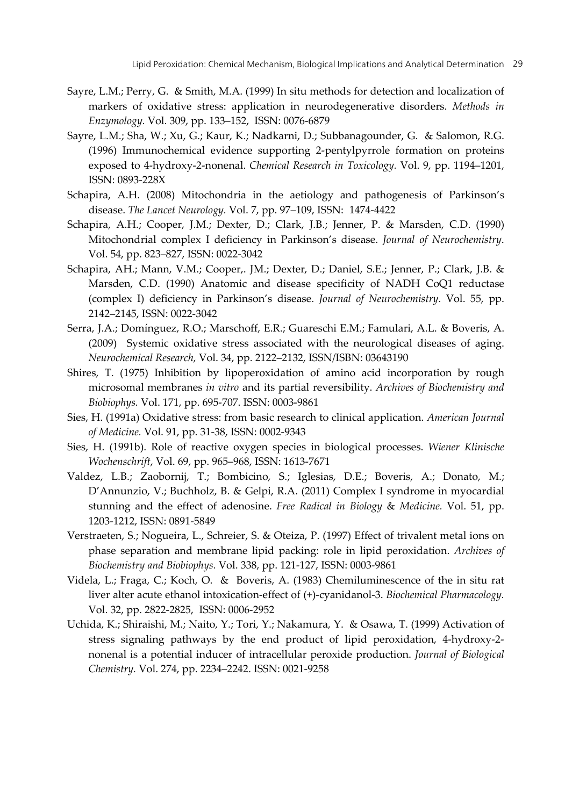- Sayre, L.M.; Perry, G. & Smith, M.A. (1999) In situ methods for detection and localization of markers of oxidative stress: application in neurodegenerative disorders. *Methods in Enzymology.* Vol. 309, pp. 133–152, ISSN: 0076-6879
- Sayre, L.M.; Sha, W.; Xu, G.; Kaur, K.; Nadkarni, D.; Subbanagounder, G. & Salomon, R.G. (1996) Immunochemical evidence supporting 2-pentylpyrrole formation on proteins exposed to 4-hydroxy-2-nonenal. *Chemical Research in Toxicology.* Vol. 9, pp. 1194–1201, ISSN: 0893-228X
- Schapira, A.H. (2008) Mitochondria in the aetiology and pathogenesis of Parkinson's disease. *The Lancet Neurology.* Vol. 7, pp. 97-109, ISSN: 1474-4422
- Schapira, A.H.; Cooper, J.M.; Dexter, D.; Clark, J.B.; Jenner, P. & Marsden, C.D. (1990) Mitochondrial complex I deficiency in Parkinson's disease. *Journal of Neurochemistry*. Vol. 54, pp. 823–827, ISSN: 0022-3042
- Schapira, AH.; Mann, V.M.; Cooper,. JM.; Dexter, D.; Daniel, S.E.; Jenner, P.; Clark, J.B. & Marsden, C.D. (1990) Anatomic and disease specificity of NADH CoQ1 reductase (complex I) deficiency in Parkinson's disease. *Journal of Neurochemistry*. Vol. 55, pp. 2142–2145, ISSN: 0022-3042
- Serra, J.A.; Domínguez, R.O.; Marschoff, E.R.; Guareschi E.M.; Famulari, A.L. & Boveris, A. (2009) Systemic oxidative stress associated with the neurological diseases of aging. *Neurochemical Research,* Vol. 34, pp. 2122–2132, ISSN/ISBN: 03643190
- Shires, T. (1975) Inhibition by lipoperoxidation of amino acid incorporation by rough microsomal membranes *in vitro* and its partial reversibility. *Archives of Biochemistry and Biobiophys.* Vol. 171, pp. 695-707. ISSN: 0003-9861
- Sies, H. (1991a) Oxidative stress: from basic research to clinical application. *American Journal of Medicine.* Vol. 91, pp. 31-38, ISSN: 0002-9343
- Sies, H. (1991b). Role of reactive oxygen species in biological processes. *Wiener Klinische Wochenschrift*, Vol. 69, pp. 965–968, ISSN: 1613-7671
- Valdez, L.B.; Zaobornij, T.; Bombicino, S.; Iglesias, D.E.; Boveris, A.; Donato, M.; D'Annunzio, V.; Buchholz, B. & Gelpi, R.A. (2011) Complex I syndrome in myocardial stunning and the effect of adenosine. *Free Radical in Biology* & *Medicine.* Vol. 51, pp. 1203-1212, ISSN: 0891-5849
- Verstraeten, S.; Nogueira, L., Schreier, S. & Oteiza, P. (1997) Effect of trivalent metal ions on phase separation and membrane lipid packing: role in lipid peroxidation. *Archives of Biochemistry and Biobiophys.* Vol. 338, pp. 121-127, ISSN: 0003-9861
- Videla, L.; Fraga, C.; Koch, O. & Boveris, A. (1983) Chemiluminescence of the in situ rat liver alter acute ethanol intoxication-effect of (+)-cyanidanol-3. *Biochemical Pharmacology.*  Vol. 32, pp. 2822-2825, ISSN: 0006-2952
- Uchida, K.; Shiraishi, M.; Naito, Y.; Tori, Y.; Nakamura, Y. & Osawa, T. (1999) Activation of stress signaling pathways by the end product of lipid peroxidation, 4-hydroxy-2 nonenal is a potential inducer of intracellular peroxide production. *Journal of Biological Chemistry.* Vol. 274, pp. 2234–2242. ISSN: 0021-9258